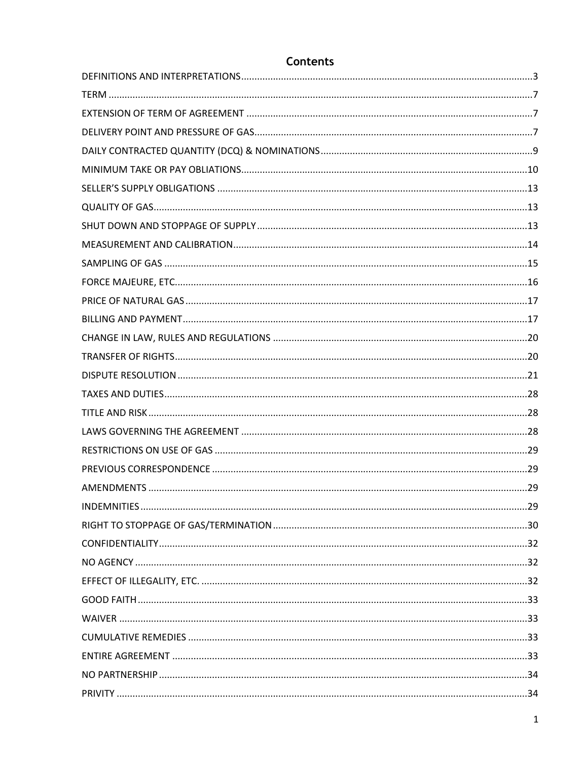# **Contents**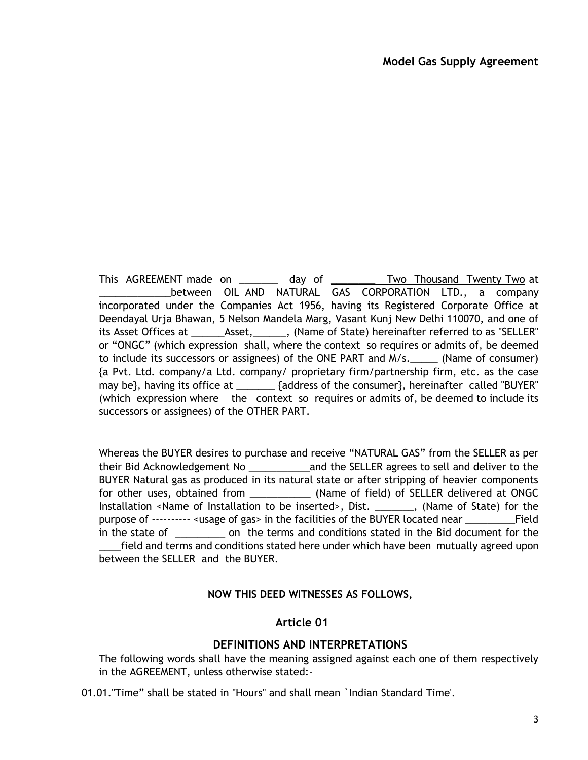This AGREEMENT made on \_\_\_\_\_\_\_\_ day of \_\_\_\_\_\_\_\_\_ Two Thousand Twenty Two at between OIL AND NATURAL GAS CORPORATION LTD., a company incorporated under the Companies Act 1956, having its Registered Corporate Office at Deendayal Urja Bhawan, 5 Nelson Mandela Marg, Vasant Kunj New Delhi 110070, and one of its Asset Offices at \_\_\_\_\_\_Asset,\_\_\_\_\_\_, (Name of State) hereinafter referred to as "SELLER" or "ONGC" (which expression shall, where the context so requires or admits of, be deemed to include its successors or assignees) of the ONE PART and M/s.\_\_\_\_\_ (Name of consumer) {a Pvt. Ltd. company/a Ltd. company/ proprietary firm/partnership firm, etc. as the case may be}, having its office at \_\_\_\_\_\_\_\_ {address of the consumer}, hereinafter called "BUYER" (which expression where the context so requires or admits of, be deemed to include its successors or assignees) of the OTHER PART.

Whereas the BUYER desires to purchase and receive "NATURAL GAS" from the SELLER as per their Bid Acknowledgement No \_\_\_\_\_\_\_\_\_\_\_and the SELLER agrees to sell and deliver to the BUYER Natural gas as produced in its natural state or after stripping of heavier components for other uses, obtained from \_\_\_\_\_\_\_\_\_\_\_\_ (Name of field) of SELLER delivered at ONGC Installation <Name of Installation to be inserted>, Dist. \_\_\_\_\_\_\_, (Name of State) for the purpose of ---------- <usage of gas> in the facilities of the BUYER located near \_\_\_\_\_\_\_\_\_Field in the state of \_\_\_\_\_\_\_\_\_ on the terms and conditions stated in the Bid document for the \_\_\_\_field and terms and conditions stated here under which have been mutually agreed upon between the SELLER and the BUYER.

### **NOW THIS DEED WITNESSES AS FOLLOWS,**

### **Article 01**

### **DEFINITIONS AND INTERPRETATIONS**

<span id="page-2-0"></span>The following words shall have the meaning assigned against each one of them respectively in the AGREEMENT, unless otherwise stated:-

01.01."Time" shall be stated in "Hours" and shall mean `Indian Standard Time'.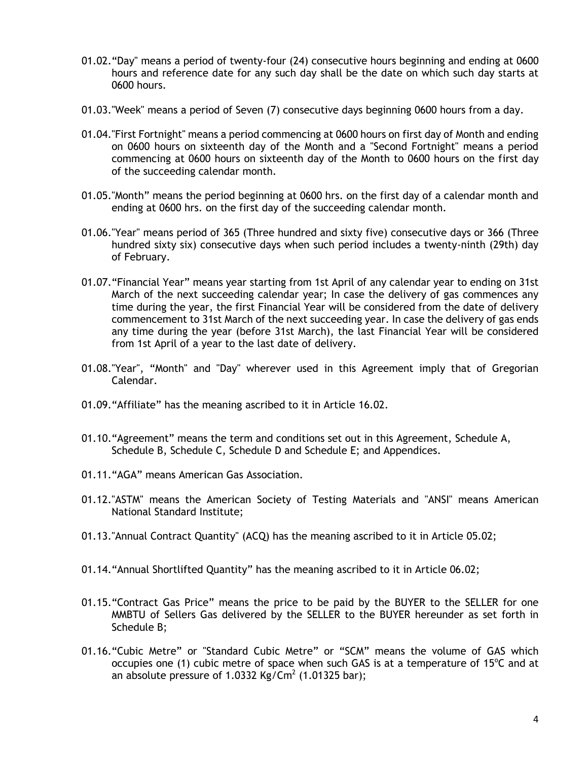- 01.02."Day" means a period of twenty-four (24) consecutive hours beginning and ending at 0600 hours and reference date for any such day shall be the date on which such day starts at 0600 hours.
- 01.03."Week" means a period of Seven (7) consecutive days beginning 0600 hours from a day.
- 01.04."First Fortnight" means a period commencing at 0600 hours on first day of Month and ending on 0600 hours on sixteenth day of the Month and a "Second Fortnight" means a period commencing at 0600 hours on sixteenth day of the Month to 0600 hours on the first day of the succeeding calendar month.
- 01.05."Month" means the period beginning at 0600 hrs. on the first day of a calendar month and ending at 0600 hrs. on the first day of the succeeding calendar month.
- 01.06."Year" means period of 365 (Three hundred and sixty five) consecutive days or 366 (Three hundred sixty six) consecutive days when such period includes a twenty-ninth (29th) day of February.
- 01.07."Financial Year" means year starting from 1st April of any calendar year to ending on 31st March of the next succeeding calendar year; In case the delivery of gas commences any time during the year, the first Financial Year will be considered from the date of delivery commencement to 31st March of the next succeeding year. In case the delivery of gas ends any time during the year (before 31st March), the last Financial Year will be considered from 1st April of a year to the last date of delivery.
- 01.08."Year", "Month" and "Day" wherever used in this Agreement imply that of Gregorian Calendar.
- 01.09."Affiliate" has the meaning ascribed to it in Article [16.02.](#page-19-2)
- 01.10."Agreement" means the term and conditions set out in this Agreement, [Schedule A](#page-35-0)[,](#page-35-1) [Schedule B,](#page-35-1) [Schedule C,](#page-38-0) [Schedule D](#page-39-0) and [Schedule E;](#page-40-0) and Appendices.
- 01.11."AGA" means American Gas Association.
- 01.12."ASTM" means the American Society of Testing Materials and "ANSI" means American National Standard Institute;
- 01.13."Annual Contract Quantity" (ACQ) has the meaning ascribed to it in Article [05.02;](#page-8-1)
- 01.14."Annual Shortlifted Quantity" has the meaning ascribed to it in Article [06.02;](#page-9-1)
- 01.15."Contract Gas Price" means the price to be paid by the BUYER to the SELLER for one MMBTU of Sellers Gas delivered by the SELLER to the BUYER hereunder as set forth in [Schedule B;](#page-36-0)
- 01.16."Cubic Metre" or "Standard Cubic Metre" or "SCM" means the volume of GAS which occupies one (1) cubic metre of space when such GAS is at a temperature of 15 $\degree$ C and at an absolute pressure of 1.0332 Kg/Cm<sup>2</sup> (1.01325 bar);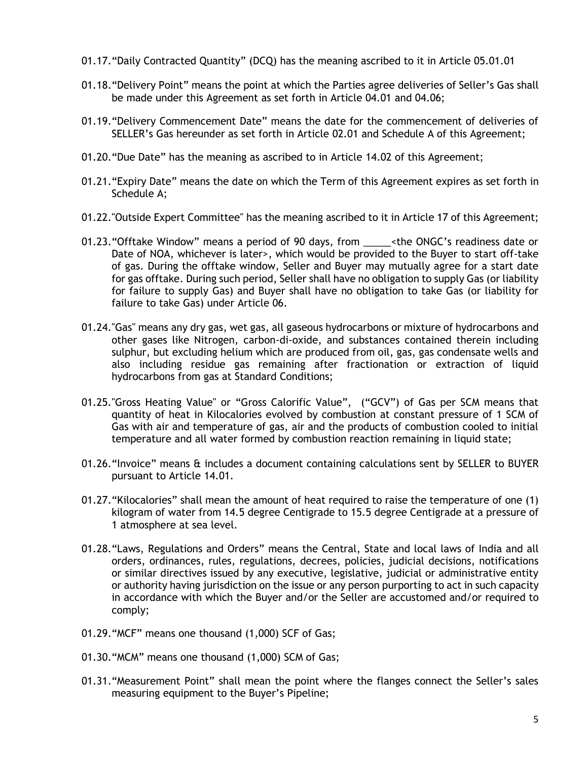- 01.17."Daily Contracted Quantity" (DCQ) has the meaning ascribed to it in Article [05.01.01](#page-8-2)
- 01.18."Delivery Point" means the point at which the Parties agree deliveries of Seller's Gas shall be made under this Agreement as set forth in Article [04.01](#page-6-3) and [04.06;](#page-7-0)
- 01.19."Delivery Commencement Date" means the date for the commencement of deliveries of SELLER's Gas hereunder as set forth in Article [02.01](#page-6-4) and [Schedule A](#page-35-0) of this Agreement;
- 01.20."Due Date" has the meaning as ascribed to in Article [14.02](#page-17-0) of this Agreement;
- 01.21."Expiry Date" means the date on which the Term of this Agreement expires as set forth in [Schedule A;](#page-35-0)
- 01.22."Outside Expert Committee" has the meaning ascribed to it in [Article 17](#page-20-1) of this Agreement;
- 01.23."Offtake Window" means a period of 90 days, from \_\_\_\_\_<the ONGC's readiness date or Date of NOA, whichever is later>, which would be provided to the Buyer to start off-take of gas. During the offtake window, Seller and Buyer may mutually agree for a start date for gas offtake. During such period, Seller shall have no obligation to supply Gas (or liability for failure to supply Gas) and Buyer shall have no obligation to take Gas (or liability for failure to take Gas) under [Article 06.](#page-9-2)
- 01.24."Gas" means any dry gas, wet gas, all gaseous hydrocarbons or mixture of hydrocarbons and other gases like Nitrogen, carbon-di-oxide, and substances contained therein including sulphur, but excluding helium which are produced from oil, gas, gas condensate wells and also including residue gas remaining after fractionation or extraction of liquid hydrocarbons from gas at Standard Conditions;
- 01.25."Gross Heating Value" or "Gross Calorific Value", ("GCV") of Gas per SCM means that quantity of heat in Kilocalories evolved by combustion at constant pressure of 1 SCM of Gas with air and temperature of gas, air and the products of combustion cooled to initial temperature and all water formed by combustion reaction remaining in liquid state;
- 01.26."Invoice" means & includes a document containing calculations sent by SELLER to BUYER pursuant to Article [14.01.](#page-16-2)
- 01.27."Kilocalories" shall mean the amount of heat required to raise the temperature of one (1) kilogram of water from 14.5 degree Centigrade to 15.5 degree Centigrade at a pressure of 1 atmosphere at sea level.
- 01.28."Laws, Regulations and Orders" means the Central, State and local laws of India and all orders, ordinances, rules, regulations, decrees, policies, judicial decisions, notifications or similar directives issued by any executive, legislative, judicial or administrative entity or authority having jurisdiction on the issue or any person purporting to act in such capacity in accordance with which the Buyer and/or the Seller are accustomed and/or required to comply;
- 01.29."MCF" means one thousand (1,000) SCF of Gas;
- 01.30."MCM" means one thousand (1,000) SCM of Gas;
- 01.31."Measurement Point" shall mean the point where the flanges connect the Seller's sales measuring equipment to the Buyer's Pipeline;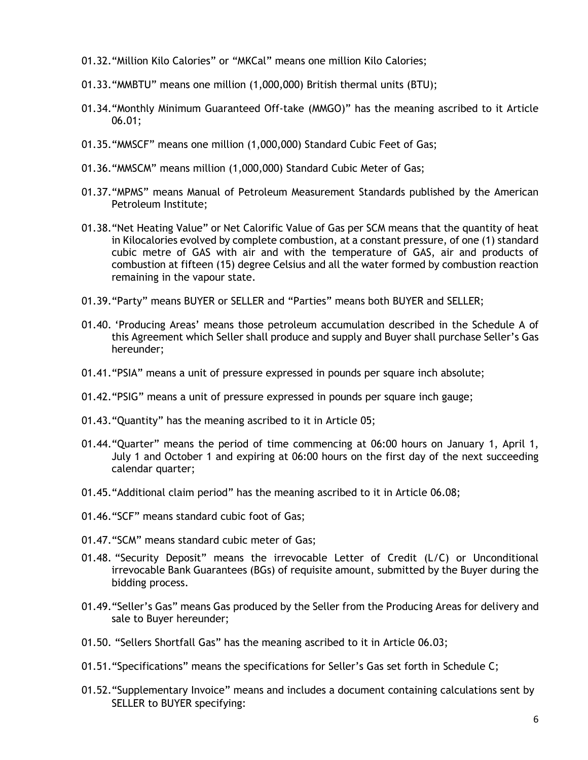- 01.32."Million Kilo Calories" or "MKCal" means one million Kilo Calories;
- 01.33."MMBTU" means one million (1,000,000) British thermal units (BTU);
- 01.34."Monthly Minimum Guaranteed Off-take (MMGO)" has the meaning ascribed to it Article [06.01;](#page-9-3)
- 01.35."MMSCF" means one million (1,000,000) Standard Cubic Feet of Gas;
- 01.36."MMSCM" means million (1,000,000) Standard Cubic Meter of Gas;
- 01.37."MPMS" means Manual of Petroleum Measurement Standards published by the American Petroleum Institute;
- 01.38."Net Heating Value" or Net Calorific Value of Gas per SCM means that the quantity of heat in Kilocalories evolved by complete combustion, at a constant pressure, of one (1) standard cubic metre of GAS with air and with the temperature of GAS, air and products of combustion at fifteen (15) degree Celsius and all the water formed by combustion reaction remaining in the vapour state.
- 01.39."Party" means BUYER or SELLER and "Parties" means both BUYER and SELLER;
- 01.40. 'Producing Areas' means those petroleum accumulation described in the [Schedule A](#page-35-0) of this Agreement which Seller shall produce and supply and Buyer shall purchase Seller's Gas hereunder;
- 01.41."PSIA" means a unit of pressure expressed in pounds per square inch absolute;
- 01.42."PSIG" means a unit of pressure expressed in pounds per square inch gauge;
- 01.43."Quantity" has the meaning ascribed to it in [Article 05;](#page-8-3)
- 01.44."Quarter" means the period of time commencing at 06:00 hours on January 1, April 1, July 1 and October 1 and expiring at 06:00 hours on the first day of the next succeeding calendar quarter;
- 01.45."Additional claim period" has the meaning ascribed to it in Article [06.08;](#page-10-0)
- 01.46."SCF" means standard cubic foot of Gas;
- 01.47."SCM" means standard cubic meter of Gas;
- 01.48. "Security Deposit" means the irrevocable Letter of Credit (L/C) or Unconditional irrevocable Bank Guarantees (BGs) of requisite amount, submitted by the Buyer during the bidding process.
- 01.49."Seller's Gas" means Gas produced by the Seller from the Producing Areas for delivery and sale to Buyer hereunder;
- 01.50. "Sellers Shortfall Gas" has the meaning ascribed to it in Article [06.03;](#page-9-4)
- 01.51."Specifications" means the specifications for Seller's Gas set forth in [Schedule C;](#page-38-0)
- 01.52."Supplementary Invoice" means and includes a document containing calculations sent by SELLER to BUYER specifying: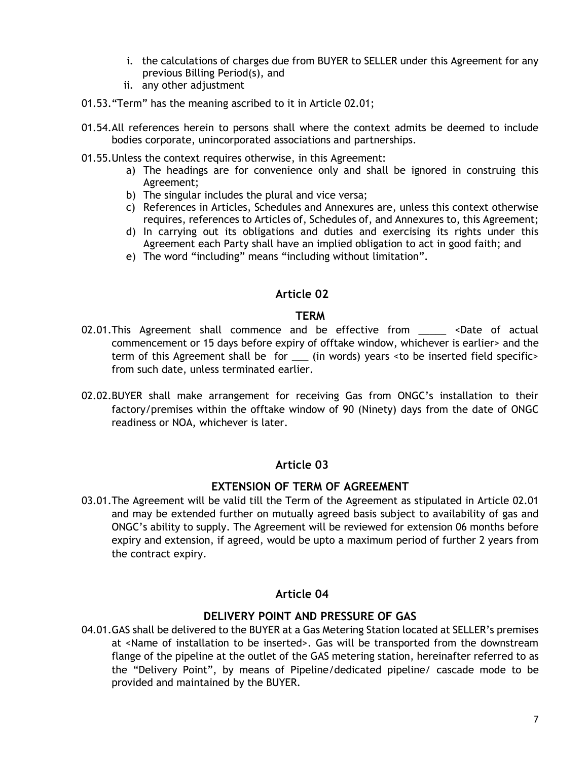- i. the calculations of charges due from BUYER to SELLER under this Agreement for any previous Billing Period(s), and
- ii. any other adjustment
- 01.53."Term" has the meaning ascribed to it in Article [02.01;](#page-6-4)
- 01.54.All references herein to persons shall where the context admits be deemed to include bodies corporate, unincorporated associations and partnerships.
- 01.55.Unless the context requires otherwise, in this Agreement:
	- a) The headings are for convenience only and shall be ignored in construing this Agreement;
	- b) The singular includes the plural and vice versa;
	- c) References in Articles, Schedules and Annexures are, unless this context otherwise requires, references to Articles of, Schedules of, and Annexures to, this Agreement;
	- d) In carrying out its obligations and duties and exercising its rights under this Agreement each Party shall have an implied obligation to act in good faith; and
	- e) The word "including" means "including without limitation".

### **Article 02**

### **TERM**

- <span id="page-6-5"></span><span id="page-6-4"></span><span id="page-6-0"></span>02.01. This Agreement shall commence and be effective from \_\_\_\_\_ <Date of actual commencement or 15 days before expiry of offtake window, whichever is earlier> and the term of this Agreement shall be for \_\_\_ (in words) years <to be inserted field specific> from such date, unless terminated earlier.
- 02.02.BUYER shall make arrangement for receiving Gas from ONGC's installation to their factory/premises within the offtake window of 90 (Ninety) days from the date of ONGC readiness or NOA, whichever is later.

### **Article 03**

### **EXTENSION OF TERM OF AGREEMENT**

<span id="page-6-1"></span>03.01.The Agreement will be valid till the Term of the Agreement as stipulated in Article [02.01](#page-6-4) and may be extended further on mutually agreed basis subject to availability of gas and ONGC's ability to supply. The Agreement will be reviewed for extension 06 months before expiry and extension, if agreed, would be upto a maximum period of further 2 years from the contract expiry.

# **Article 04**

# **DELIVERY POINT AND PRESSURE OF GAS**

<span id="page-6-3"></span><span id="page-6-2"></span>04.01.GAS shall be delivered to the BUYER at a Gas Metering Station located at SELLER's premises at <Name of installation to be inserted>. Gas will be transported from the downstream flange of the pipeline at the outlet of the GAS metering station, hereinafter referred to as the "Delivery Point", by means of Pipeline/dedicated pipeline/ cascade mode to be provided and maintained by the BUYER.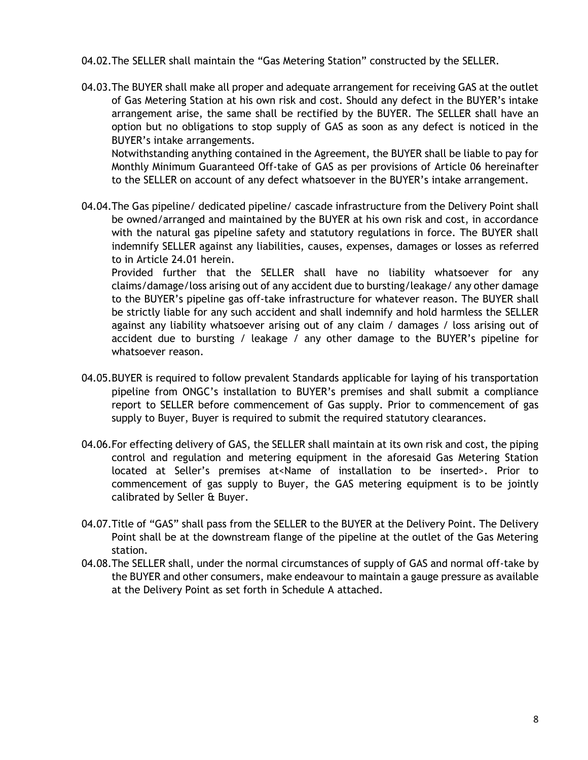- 04.02.The SELLER shall maintain the "Gas Metering Station" constructed by the SELLER.
- 04.03.The BUYER shall make all proper and adequate arrangement for receiving GAS at the outlet of Gas Metering Station at his own risk and cost. Should any defect in the BUYER's intake arrangement arise, the same shall be rectified by the BUYER. The SELLER shall have an option but no obligations to stop supply of GAS as soon as any defect is noticed in the BUYER's intake arrangements.

Notwithstanding anything contained in the Agreement, the BUYER shall be liable to pay for Monthly Minimum Guaranteed Off-take of GAS as per provisions of [Article 06](#page-9-2) hereinafter to the SELLER on account of any defect whatsoever in the BUYER's intake arrangement.

04.04. The Gas pipeline/ dedicated pipeline/ cascade infrastructure from the Delivery Point shall be owned/arranged and maintained by the BUYER at his own risk and cost, in accordance with the natural gas pipeline safety and statutory regulations in force. The BUYER shall indemnify SELLER against any liabilities, causes, expenses, damages or losses as referred to in Article [24.01](#page-28-4) herein.

Provided further that the SELLER shall have no liability whatsoever for any claims/damage/loss arising out of any accident due to bursting/leakage/ any other damage to the BUYER's pipeline gas off-take infrastructure for whatever reason. The BUYER shall be strictly liable for any such accident and shall indemnify and hold harmless the SELLER against any liability whatsoever arising out of any claim / damages / loss arising out of accident due to bursting / leakage / any other damage to the BUYER's pipeline for whatsoever reason.

- 04.05.BUYER is required to follow prevalent Standards applicable for laying of his transportation pipeline from ONGC's installation to BUYER's premises and shall submit a compliance report to SELLER before commencement of Gas supply. Prior to commencement of gas supply to Buyer, Buyer is required to submit the required statutory clearances.
- <span id="page-7-0"></span>04.06.For effecting delivery of GAS, the SELLER shall maintain at its own risk and cost, the piping control and regulation and metering equipment in the aforesaid Gas Metering Station located at Seller's premises at<Name of installation to be inserted>. Prior to commencement of gas supply to Buyer, the GAS metering equipment is to be jointly calibrated by Seller & Buyer.
- 04.07.Title of "GAS" shall pass from the SELLER to the BUYER at the Delivery Point. The Delivery Point shall be at the downstream flange of the pipeline at the outlet of the Gas Metering station.
- 04.08.The SELLER shall, under the normal circumstances of supply of GAS and normal off-take by the BUYER and other consumers, make endeavour to maintain a gauge pressure as available at the Delivery Point as set forth in [Schedule A](#page-35-0) attached.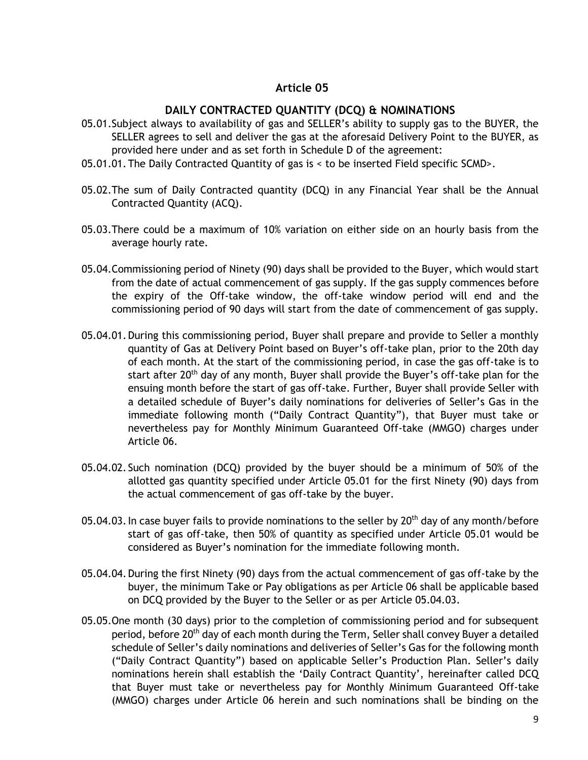### **Article 05**

### **DAILY CONTRACTED QUANTITY (DCQ) & NOMINATIONS**

- <span id="page-8-4"></span><span id="page-8-3"></span><span id="page-8-0"></span>05.01.Subject always to availability of gas and SELLER's ability to supply gas to the BUYER, the SELLER agrees to sell and deliver the gas at the aforesaid Delivery Point to the BUYER, as provided here under and as set forth in [Schedule D](#page-39-0) of the agreement:
- <span id="page-8-2"></span>05.01.01.The Daily Contracted Quantity of gas is < to be inserted Field specific SCMD>.
- <span id="page-8-1"></span>05.02.The sum of Daily Contracted quantity (DCQ) in any Financial Year shall be the Annual Contracted Quantity (ACQ).
- 05.03.There could be a maximum of 10% variation on either side on an hourly basis from the average hourly rate.
- 05.04.Commissioning period of Ninety (90) days shall be provided to the Buyer, which would start from the date of actual commencement of gas supply. If the gas supply commences before the expiry of the Off-take window, the off-take window period will end and the commissioning period of 90 days will start from the date of commencement of gas supply.
- 05.04.01.During this commissioning period, Buyer shall prepare and provide to Seller a monthly quantity of Gas at Delivery Point based on Buyer's off-take plan, prior to the 20th day of each month. At the start of the commissioning period, in case the gas off-take is to start after 20<sup>th</sup> day of any month, Buyer shall provide the Buyer's off-take plan for the ensuing month before the start of gas off-take. Further, Buyer shall provide Seller with a detailed schedule of Buyer's daily nominations for deliveries of Seller's Gas in the immediate following month ("Daily Contract Quantity"), that Buyer must take or nevertheless pay for Monthly Minimum Guaranteed Off-take (MMGO) charges under [Article 06.](#page-9-2)
- 05.04.02. Such nomination (DCQ) provided by the buyer should be a minimum of 50% of the allotted gas quantity specified under Article [05.01](#page-8-4) for the first Ninety (90) days from the actual commencement of gas off-take by the buyer.
- <span id="page-8-5"></span>05.04.03. In case buyer fails to provide nominations to the seller by  $20<sup>th</sup>$  day of any month/before start of gas off-take, then 50% of quantity as specified under Article [05.01](#page-8-4) would be considered as Buyer's nomination for the immediate following month.
- 05.04.04.During the first Ninety (90) days from the actual commencement of gas off-take by the buyer, the minimum Take or Pay obligations as per [Article 06](#page-9-2) shall be applicable based on DCQ provided by the Buyer to the Seller or as per Article [05.04.03.](#page-8-5)
- 05.05.One month (30 days) prior to the completion of commissioning period and for subsequent period, before 20<sup>th</sup> day of each month during the Term, Seller shall convey Buyer a detailed schedule of Seller's daily nominations and deliveries of Seller's Gas for the following month ("Daily Contract Quantity") based on applicable Seller's Production Plan. Seller's daily nominations herein shall establish the 'Daily Contract Quantity', hereinafter called DCQ that Buyer must take or nevertheless pay for Monthly Minimum Guaranteed Off-take (MMGO) charges under [Article 06](#page-9-2) herein and such nominations shall be binding on the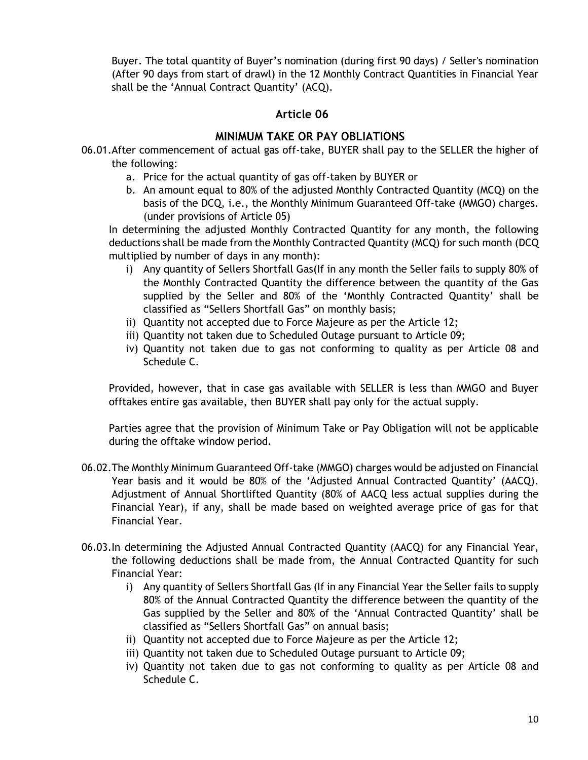Buyer. The total quantity of Buyer's nomination (during first 90 days) / Seller's nomination (After 90 days from start of drawl) in the 12 Monthly Contract Quantities in Financial Year shall be the 'Annual Contract Quantity' (ACQ).

### **Article 06**

# **MINIMUM TAKE OR PAY OBLIATIONS**

- <span id="page-9-3"></span><span id="page-9-2"></span><span id="page-9-0"></span>06.01.After commencement of actual gas off-take, BUYER shall pay to the SELLER the higher of the following:
	- a. Price for the actual quantity of gas off-taken by BUYER or
	- b. An amount equal to 80% of the adjusted Monthly Contracted Quantity (MCQ) on the basis of the DCQ, i.e., the Monthly Minimum Guaranteed Off-take (MMGO) charges. (under provisions of [Article 05\)](#page-8-3)

In determining the adjusted Monthly Contracted Quantity for any month, the following deductions shall be made from the Monthly Contracted Quantity (MCQ) for such month (DCQ multiplied by number of days in any month):

- i) Any quantity of Sellers Shortfall Gas(If in any month the Seller fails to supply 80% of the Monthly Contracted Quantity the difference between the quantity of the Gas supplied by the Seller and 80% of the 'Monthly Contracted Quantity' shall be classified as "Sellers Shortfall Gas" on monthly basis;
- ii) Quantity not accepted due to Force Majeure as per the [Article 12;](#page-15-1)
- iii) Quantity not taken due to Scheduled Outage pursuant to [Article 09;](#page-12-3)
- iv) Quantity not taken due to gas not conforming to quality as per [Article 08](#page-12-4) and [Schedule C.](#page-38-0)

Provided, however, that in case gas available with SELLER is less than MMGO and Buyer offtakes entire gas available, then BUYER shall pay only for the actual supply.

Parties agree that the provision of Minimum Take or Pay Obligation will not be applicable during the offtake window period.

- <span id="page-9-1"></span>06.02.The Monthly Minimum Guaranteed Off-take (MMGO) charges would be adjusted on Financial Year basis and it would be 80% of the 'Adjusted Annual Contracted Quantity' (AACQ). Adjustment of Annual Shortlifted Quantity (80% of AACQ less actual supplies during the Financial Year), if any, shall be made based on weighted average price of gas for that Financial Year.
- <span id="page-9-4"></span>06.03.In determining the Adjusted Annual Contracted Quantity (AACQ) for any Financial Year, the following deductions shall be made from, the Annual Contracted Quantity for such Financial Year:
	- i) Any quantity of Sellers Shortfall Gas (If in any Financial Year the Seller fails to supply 80% of the Annual Contracted Quantity the difference between the quantity of the Gas supplied by the Seller and 80% of the 'Annual Contracted Quantity' shall be classified as "Sellers Shortfall Gas" on annual basis;
	- ii) Quantity not accepted due to Force Majeure as per the [Article 12;](#page-15-1)
	- iii) Quantity not taken due to Scheduled Outage pursuant to [Article 09;](#page-12-3)
	- iv) Quantity not taken due to gas not conforming to quality as per [Article 08](#page-12-4) and [Schedule C.](#page-38-0)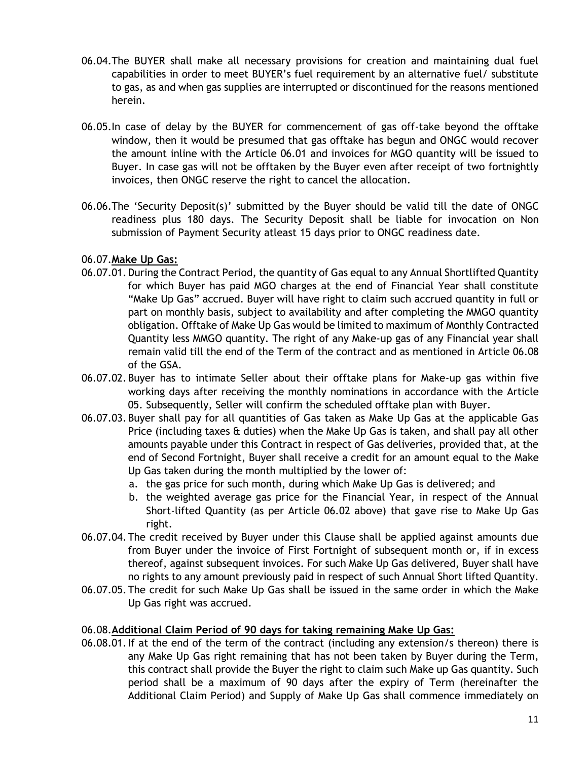- 06.04.The BUYER shall make all necessary provisions for creation and maintaining dual fuel capabilities in order to meet BUYER's fuel requirement by an alternative fuel/ substitute to gas, as and when gas supplies are interrupted or discontinued for the reasons mentioned herein.
- 06.05.In case of delay by the BUYER for commencement of gas off-take beyond the offtake window, then it would be presumed that gas offtake has begun and ONGC would recover the amount inline with the Article [06.01](#page-9-3) and invoices for MGO quantity will be issued to Buyer. In case gas will not be offtaken by the Buyer even after receipt of two fortnightly invoices, then ONGC reserve the right to cancel the allocation.
- 06.06.The 'Security Deposit(s)' submitted by the Buyer should be valid till the date of ONGC readiness plus 180 days. The Security Deposit shall be liable for invocation on Non submission of Payment Security atleast 15 days prior to ONGC readiness date.

### 06.07.**Make Up Gas:**

- 06.07.01.During the Contract Period, the quantity of Gas equal to any Annual Shortlifted Quantity for which Buyer has paid MGO charges at the end of Financial Year shall constitute "Make Up Gas" accrued. Buyer will have right to claim such accrued quantity in full or part on monthly basis, subject to availability and after completing the MMGO quantity obligation. Offtake of Make Up Gas would be limited to maximum of Monthly Contracted Quantity less MMGO quantity. The right of any Make-up gas of any Financial year shall remain valid till the end of the Term of the contract and as mentioned in Article [06.08](#page-10-0) of the GSA.
- 06.07.02.Buyer has to intimate Seller about their offtake plans for Make-up gas within five working days after receiving the monthly nominations in accordance with the [Article](#page-8-3)  [05.](#page-8-3) Subsequently, Seller will confirm the scheduled offtake plan with Buyer.
- <span id="page-10-1"></span>06.07.03.Buyer shall pay for all quantities of Gas taken as Make Up Gas at the applicable Gas Price (including taxes & duties) when the Make Up Gas is taken, and shall pay all other amounts payable under this Contract in respect of Gas deliveries, provided that, at the end of Second Fortnight, Buyer shall receive a credit for an amount equal to the Make Up Gas taken during the month multiplied by the lower of:
	- a. the gas price for such month, during which Make Up Gas is delivered; and
	- b. the weighted average gas price for the Financial Year, in respect of the Annual Short-lifted Quantity (as per Article [06.02](#page-9-1) above) that gave rise to Make Up Gas right.
- 06.07.04.The credit received by Buyer under this Clause shall be applied against amounts due from Buyer under the invoice of First Fortnight of subsequent month or, if in excess thereof, against subsequent invoices. For such Make Up Gas delivered, Buyer shall have no rights to any amount previously paid in respect of such Annual Short lifted Quantity.
- <span id="page-10-2"></span>06.07.05.The credit for such Make Up Gas shall be issued in the same order in which the Make Up Gas right was accrued.

### <span id="page-10-0"></span>06.08.**Additional Claim Period of 90 days for taking remaining Make Up Gas:**

06.08.01.If at the end of the term of the contract (including any extension/s thereon) there is any Make Up Gas right remaining that has not been taken by Buyer during the Term, this contract shall provide the Buyer the right to claim such Make up Gas quantity. Such period shall be a maximum of 90 days after the expiry of Term (hereinafter the Additional Claim Period) and Supply of Make Up Gas shall commence immediately on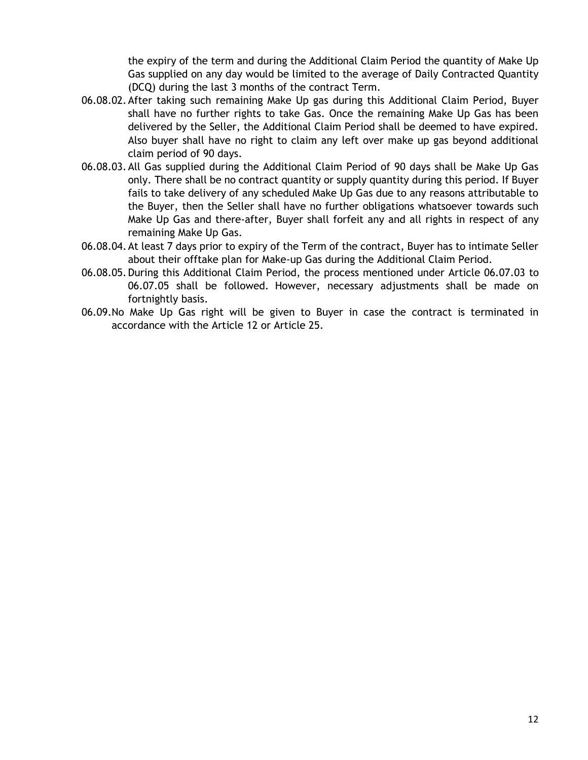the expiry of the term and during the Additional Claim Period the quantity of Make Up Gas supplied on any day would be limited to the average of Daily Contracted Quantity (DCQ) during the last 3 months of the contract Term.

- 06.08.02.After taking such remaining Make Up gas during this Additional Claim Period, Buyer shall have no further rights to take Gas. Once the remaining Make Up Gas has been delivered by the Seller, the Additional Claim Period shall be deemed to have expired. Also buyer shall have no right to claim any left over make up gas beyond additional claim period of 90 days.
- 06.08.03.All Gas supplied during the Additional Claim Period of 90 days shall be Make Up Gas only. There shall be no contract quantity or supply quantity during this period. If Buyer fails to take delivery of any scheduled Make Up Gas due to any reasons attributable to the Buyer, then the Seller shall have no further obligations whatsoever towards such Make Up Gas and there-after, Buyer shall forfeit any and all rights in respect of any remaining Make Up Gas.
- 06.08.04.At least 7 days prior to expiry of the Term of the contract, Buyer has to intimate Seller about their offtake plan for Make-up Gas during the Additional Claim Period.
- 06.08.05.During this Additional Claim Period, the process mentioned under Article [06.07.03](#page-10-1) to [06.07.05](#page-10-2) shall be followed. However, necessary adjustments shall be made on fortnightly basis.
- 06.09.No Make Up Gas right will be given to Buyer in case the contract is terminated in accordance with the [Article 12](#page-15-1) or [Article 25.](#page-29-1)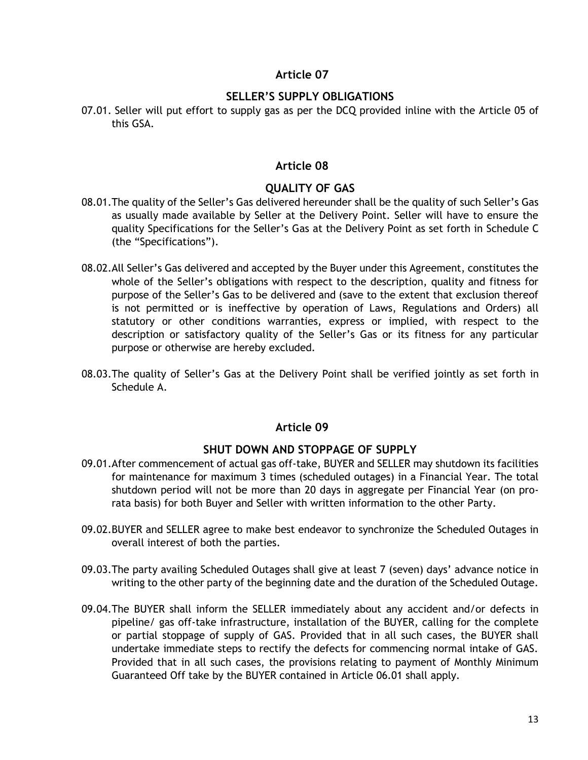### **Article 07**

# **SELLER'S SUPPLY OBLIGATIONS**

<span id="page-12-0"></span>07.01. Seller will put effort to supply gas as per the DCQ provided inline with the [Article 05](#page-8-3) of this GSA.

### **Article 08**

# **QUALITY OF GAS**

- <span id="page-12-4"></span><span id="page-12-1"></span>08.01.The quality of the Seller's Gas delivered hereunder shall be the quality of such Seller's Gas as usually made available by Seller at the Delivery Point. Seller will have to ensure the quality Specifications for the Seller's Gas at the Delivery Point as set forth in [Schedule C](#page-38-0) (the "Specifications").
- 08.02.All Seller's Gas delivered and accepted by the Buyer under this Agreement, constitutes the whole of the Seller's obligations with respect to the description, quality and fitness for purpose of the Seller's Gas to be delivered and (save to the extent that exclusion thereof is not permitted or is ineffective by operation of Laws, Regulations and Orders) all statutory or other conditions warranties, express or implied, with respect to the description or satisfactory quality of the Seller's Gas or its fitness for any particular purpose or otherwise are hereby excluded.
- 08.03.The quality of Seller's Gas at the Delivery Point shall be verified jointly as set forth in [Schedule A.](#page-35-0)

# **Article 09**

### **SHUT DOWN AND STOPPAGE OF SUPPLY**

- <span id="page-12-3"></span><span id="page-12-2"></span>09.01.After commencement of actual gas off-take, BUYER and SELLER may shutdown its facilities for maintenance for maximum 3 times (scheduled outages) in a Financial Year. The total shutdown period will not be more than 20 days in aggregate per Financial Year (on prorata basis) for both Buyer and Seller with written information to the other Party.
- 09.02.BUYER and SELLER agree to make best endeavor to synchronize the Scheduled Outages in overall interest of both the parties.
- 09.03.The party availing Scheduled Outages shall give at least 7 (seven) days' advance notice in writing to the other party of the beginning date and the duration of the Scheduled Outage.
- 09.04.The BUYER shall inform the SELLER immediately about any accident and/or defects in pipeline/ gas off-take infrastructure, installation of the BUYER, calling for the complete or partial stoppage of supply of GAS. Provided that in all such cases, the BUYER shall undertake immediate steps to rectify the defects for commencing normal intake of GAS. Provided that in all such cases, the provisions relating to payment of Monthly Minimum Guaranteed Off take by the BUYER contained in Article [06.01](#page-9-3) shall apply.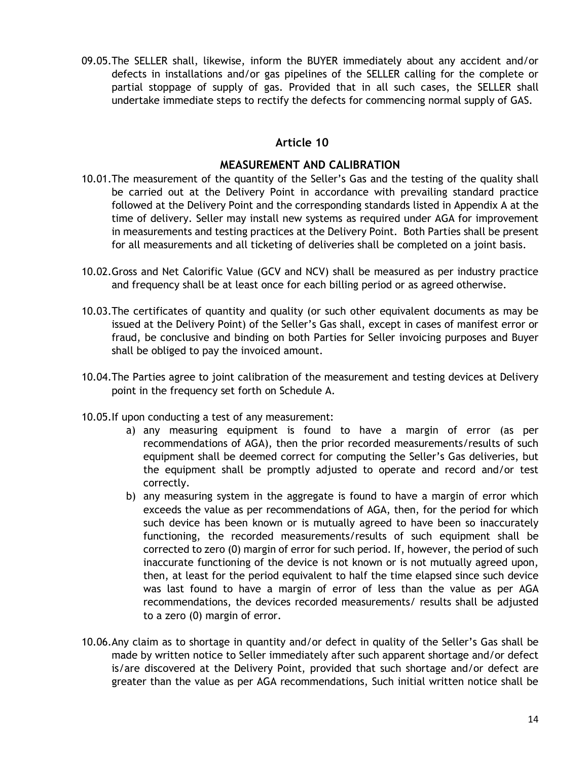09.05.The SELLER shall, likewise, inform the BUYER immediately about any accident and/or defects in installations and/or gas pipelines of the SELLER calling for the complete or partial stoppage of supply of gas. Provided that in all such cases, the SELLER shall undertake immediate steps to rectify the defects for commencing normal supply of GAS.

### **Article 10**

# **MEASUREMENT AND CALIBRATION**

- <span id="page-13-0"></span>10.01.The measurement of the quantity of the Seller's Gas and the testing of the quality shall be carried out at the Delivery Point in accordance with prevailing standard practice followed at the Delivery Point and the corresponding standards listed in Appendix A at the time of delivery. Seller may install new systems as required under AGA for improvement in measurements and testing practices at the Delivery Point. Both Parties shall be present for all measurements and all ticketing of deliveries shall be completed on a joint basis.
- 10.02.Gross and Net Calorific Value (GCV and NCV) shall be measured as per industry practice and frequency shall be at least once for each billing period or as agreed otherwise.
- 10.03.The certificates of quantity and quality (or such other equivalent documents as may be issued at the Delivery Point) of the Seller's Gas shall, except in cases of manifest error or fraud, be conclusive and binding on both Parties for Seller invoicing purposes and Buyer shall be obliged to pay the invoiced amount.
- 10.04.The Parties agree to joint calibration of the measurement and testing devices at Delivery point in the frequency set forth on [Schedule A.](#page-35-0)
- 10.05.If upon conducting a test of any measurement:
	- a) any measuring equipment is found to have a margin of error (as per recommendations of AGA), then the prior recorded measurements/results of such equipment shall be deemed correct for computing the Seller's Gas deliveries, but the equipment shall be promptly adjusted to operate and record and/or test correctly.
	- b) any measuring system in the aggregate is found to have a margin of error which exceeds the value as per recommendations of AGA, then, for the period for which such device has been known or is mutually agreed to have been so inaccurately functioning, the recorded measurements/results of such equipment shall be corrected to zero (0) margin of error for such period. If, however, the period of such inaccurate functioning of the device is not known or is not mutually agreed upon, then, at least for the period equivalent to half the time elapsed since such device was last found to have a margin of error of less than the value as per AGA recommendations, the devices recorded measurements/ results shall be adjusted to a zero (0) margin of error.
- 10.06.Any claim as to shortage in quantity and/or defect in quality of the Seller's Gas shall be made by written notice to Seller immediately after such apparent shortage and/or defect is/are discovered at the Delivery Point, provided that such shortage and/or defect are greater than the value as per AGA recommendations, Such initial written notice shall be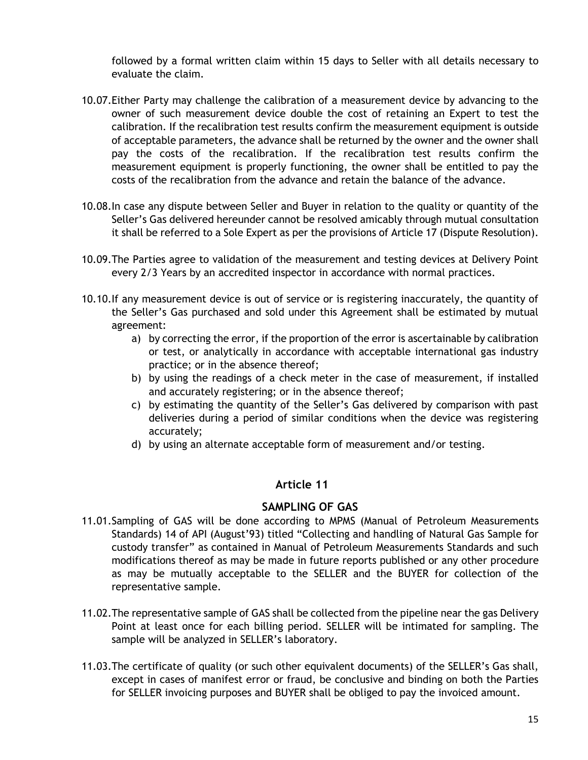followed by a formal written claim within 15 days to Seller with all details necessary to evaluate the claim.

- 10.07.Either Party may challenge the calibration of a measurement device by advancing to the owner of such measurement device double the cost of retaining an Expert to test the calibration. If the recalibration test results confirm the measurement equipment is outside of acceptable parameters, the advance shall be returned by the owner and the owner shall pay the costs of the recalibration. If the recalibration test results confirm the measurement equipment is properly functioning, the owner shall be entitled to pay the costs of the recalibration from the advance and retain the balance of the advance.
- 10.08.In case any dispute between Seller and Buyer in relation to the quality or quantity of the Seller's Gas delivered hereunder cannot be resolved amicably through mutual consultation it shall be referred to a Sole Expert as per the provisions of [Article 17](#page-20-1) (Dispute Resolution).
- 10.09.The Parties agree to validation of the measurement and testing devices at Delivery Point every 2/3 Years by an accredited inspector in accordance with normal practices.
- 10.10.If any measurement device is out of service or is registering inaccurately, the quantity of the Seller's Gas purchased and sold under this Agreement shall be estimated by mutual agreement:
	- a) by correcting the error, if the proportion of the error is ascertainable by calibration or test, or analytically in accordance with acceptable international gas industry practice; or in the absence thereof;
	- b) by using the readings of a check meter in the case of measurement, if installed and accurately registering; or in the absence thereof;
	- c) by estimating the quantity of the Seller's Gas delivered by comparison with past deliveries during a period of similar conditions when the device was registering accurately;
	- d) by using an alternate acceptable form of measurement and/or testing.

### **Article 11**

### **SAMPLING OF GAS**

- <span id="page-14-0"></span>11.01.Sampling of GAS will be done according to MPMS (Manual of Petroleum Measurements Standards) 14 of API (August'93) titled "Collecting and handling of Natural Gas Sample for custody transfer" as contained in Manual of Petroleum Measurements Standards and such modifications thereof as may be made in future reports published or any other procedure as may be mutually acceptable to the SELLER and the BUYER for collection of the representative sample.
- 11.02.The representative sample of GAS shall be collected from the pipeline near the gas Delivery Point at least once for each billing period. SELLER will be intimated for sampling. The sample will be analyzed in SELLER's laboratory.
- 11.03.The certificate of quality (or such other equivalent documents) of the SELLER's Gas shall, except in cases of manifest error or fraud, be conclusive and binding on both the Parties for SELLER invoicing purposes and BUYER shall be obliged to pay the invoiced amount.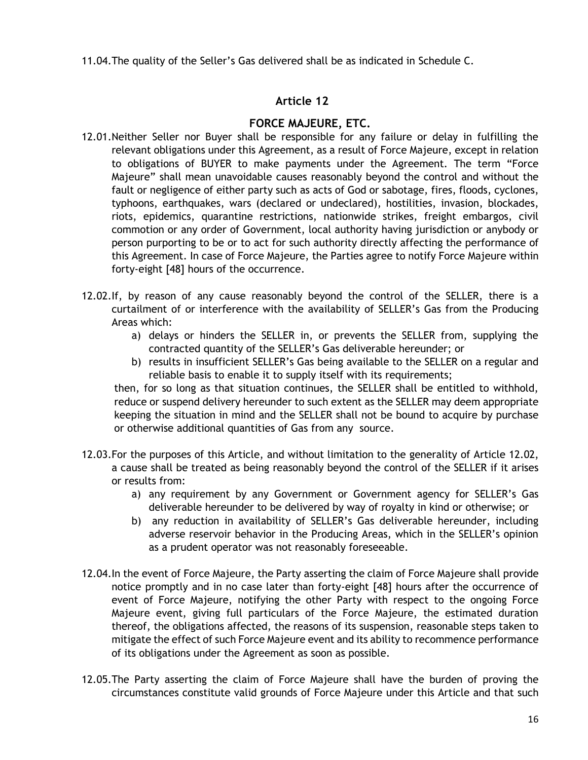11.04.The quality of the Seller's Gas delivered shall be as indicated in [Schedule C.](#page-38-0)

# **Article 12**

# **FORCE MAJEURE, ETC.**

- <span id="page-15-1"></span><span id="page-15-0"></span>12.01.Neither Seller nor Buyer shall be responsible for any failure or delay in fulfilling the relevant obligations under this Agreement, as a result of Force Majeure, except in relation to obligations of BUYER to make payments under the Agreement. The term "Force Majeure" shall mean unavoidable causes reasonably beyond the control and without the fault or negligence of either party such as acts of God or sabotage, fires, floods, cyclones, typhoons, earthquakes, wars (declared or undeclared), hostilities, invasion, blockades, riots, epidemics, quarantine restrictions, nationwide strikes, freight embargos, civil commotion or any order of Government, local authority having jurisdiction or anybody or person purporting to be or to act for such authority directly affecting the performance of this Agreement. In case of Force Majeure, the Parties agree to notify Force Majeure within forty-eight [48] hours of the occurrence.
- <span id="page-15-2"></span>12.02.If, by reason of any cause reasonably beyond the control of the SELLER, there is a curtailment of or interference with the availability of SELLER's Gas from the Producing Areas which:
	- a) delays or hinders the SELLER in, or prevents the SELLER from, supplying the contracted quantity of the SELLER's Gas deliverable hereunder; or
	- b) results in insufficient SELLER's Gas being available to the SELLER on a regular and reliable basis to enable it to supply itself with its requirements;

then, for so long as that situation continues, the SELLER shall be entitled to withhold, reduce or suspend delivery hereunder to such extent as the SELLER may deem appropriate keeping the situation in mind and the SELLER shall not be bound to acquire by purchase or otherwise additional quantities of Gas from any source.

- 12.03.For the purposes of this Article, and without limitation to the generality of Article [12.02,](#page-15-2) a cause shall be treated as being reasonably beyond the control of the SELLER if it arises or results from:
	- a) any requirement by any Government or Government agency for SELLER's Gas deliverable hereunder to be delivered by way of royalty in kind or otherwise; or
	- b) any reduction in availability of SELLER's Gas deliverable hereunder, including adverse reservoir behavior in the Producing Areas, which in the SELLER's opinion as a prudent operator was not reasonably foreseeable.
- 12.04.In the event of Force Majeure, the Party asserting the claim of Force Majeure shall provide notice promptly and in no case later than forty-eight [48] hours after the occurrence of event of Force Majeure, notifying the other Party with respect to the ongoing Force Majeure event, giving full particulars of the Force Majeure, the estimated duration thereof, the obligations affected, the reasons of its suspension, reasonable steps taken to mitigate the effect of such Force Majeure event and its ability to recommence performance of its obligations under the Agreement as soon as possible.
- 12.05.The Party asserting the claim of Force Majeure shall have the burden of proving the circumstances constitute valid grounds of Force Majeure under this Article and that such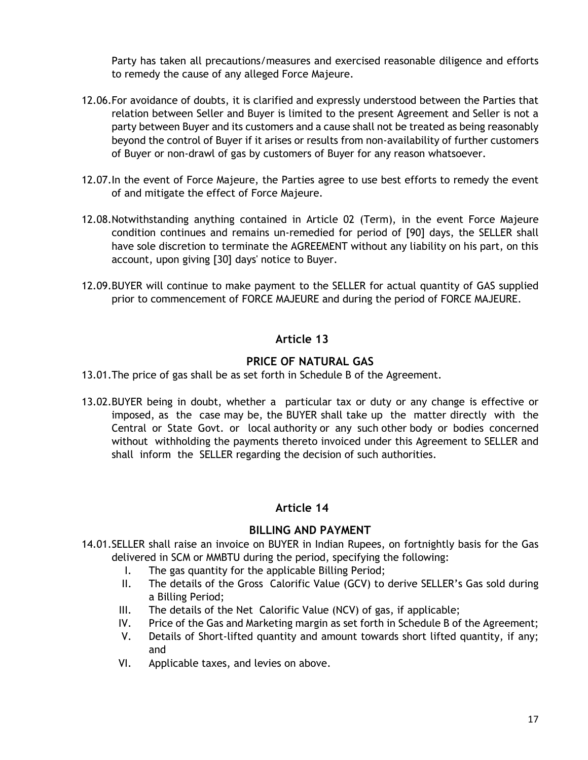Party has taken all precautions/measures and exercised reasonable diligence and efforts to remedy the cause of any alleged Force Majeure.

- 12.06.For avoidance of doubts, it is clarified and expressly understood between the Parties that relation between Seller and Buyer is limited to the present Agreement and Seller is not a party between Buyer and its customers and a cause shall not be treated as being reasonably beyond the control of Buyer if it arises or results from non-availability of further customers of Buyer or non-drawl of gas by customers of Buyer for any reason whatsoever.
- 12.07.In the event of Force Majeure, the Parties agree to use best efforts to remedy the event of and mitigate the effect of Force Majeure.
- 12.08.Notwithstanding anything contained in [Article 02](#page-6-5) (Term), in the event Force Majeure condition continues and remains un-remedied for period of [90] days, the SELLER shall have sole discretion to terminate the AGREEMENT without any liability on his part, on this account, upon giving [30] days' notice to Buyer.
- 12.09.BUYER will continue to make payment to the SELLER for actual quantity of GAS supplied prior to commencement of FORCE MAJEURE and during the period of FORCE MAJEURE.

# **Article 13**

# **PRICE OF NATURAL GAS**

- <span id="page-16-3"></span><span id="page-16-0"></span>13.01.The price of gas shall be as set forth in Schedule B of the Agreement.
- 13.02.BUYER being in doubt, whether a particular tax or duty or any change is effective or imposed, as the case may be, the BUYER shall take up the matter directly with the Central or State Govt. or local authority or any such other body or bodies concerned without withholding the payments thereto invoiced under this Agreement to SELLER and shall inform the SELLER regarding the decision of such authorities.

# **Article 14**

# **BILLING AND PAYMENT**

- <span id="page-16-2"></span><span id="page-16-1"></span>14.01.SELLER shall raise an invoice on BUYER in Indian Rupees, on fortnightly basis for the Gas delivered in SCM or MMBTU during the period, specifying the following:
	- I. The gas quantity for the applicable Billing Period;
	- II. The details of the Gross Calorific Value (GCV) to derive SELLER's Gas sold during a Billing Period;
	- III. The details of the Net Calorific Value (NCV) of gas, if applicable;
	- IV. Price of the Gas and Marketing margin as set forth in Schedule B of the Agreement;
	- V. Details of Short-lifted quantity and amount towards short lifted quantity, if any; and
	- VI. Applicable taxes, and levies on above.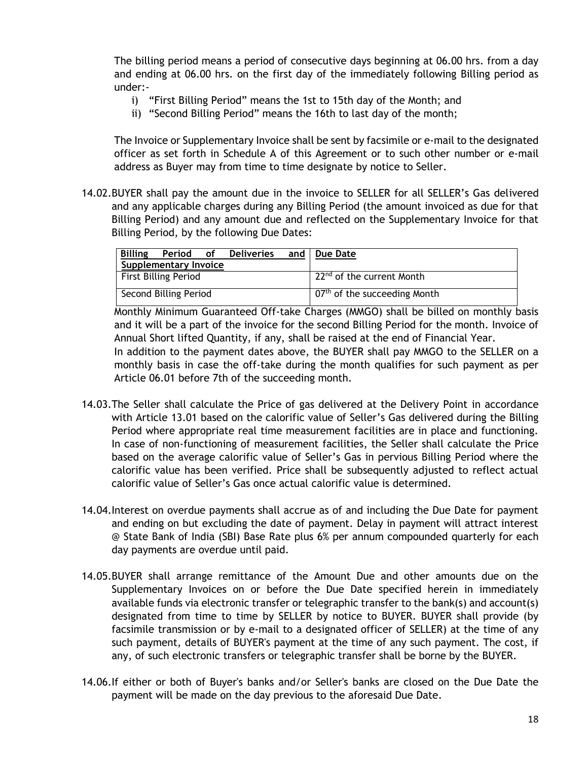The billing period means a period of consecutive days beginning at 06.00 hrs. from a day and ending at 06.00 hrs. on the first day of the immediately following Billing period as under:-

- i) "First Billing Period" means the 1st to 15th day of the Month; and
- ii) "Second Billing Period" means the 16th to last day of the month;

The Invoice or Supplementary Invoice shall be sent by facsimile or e-mail to the designated officer as set forth in [Schedule A](#page-35-0) of this Agreement or to such other number or e-mail address as Buyer may from time to time designate by notice to Seller.

<span id="page-17-0"></span>14.02.BUYER shall pay the amount due in the invoice to SELLER for all SELLER's Gas delivered and any applicable charges during any Billing Period (the amount invoiced as due for that Billing Period) and any amount due and reflected on the Supplementary Invoice for that Billing Period, by the following Due Dates:

| <b>Billing</b><br>Period of Deliveries and   Due Date<br>Supplementary Invoice |                                          |
|--------------------------------------------------------------------------------|------------------------------------------|
| <b>First Billing Period</b>                                                    | 22 <sup>nd</sup> of the current Month    |
| Second Billing Period                                                          | 07 <sup>th</sup> of the succeeding Month |

Monthly Minimum Guaranteed Off-take Charges (MMGO) shall be billed on monthly basis and it will be a part of the invoice for the second Billing Period for the month. Invoice of Annual Short lifted Quantity, if any, shall be raised at the end of Financial Year. In addition to the payment dates above, the BUYER shall pay MMGO to the SELLER on a monthly basis in case the off-take during the month qualifies for such payment as per Article [06.01](#page-9-3) before 7th of the succeeding month.

- <span id="page-17-1"></span>14.03.The Seller shall calculate the Price of gas delivered at the Delivery Point in accordance with Article [13.01](#page-16-3) based on the calorific value of Seller's Gas delivered during the Billing Period where appropriate real time measurement facilities are in place and functioning. In case of non-functioning of measurement facilities, the Seller shall calculate the Price based on the average calorific value of Seller's Gas in pervious Billing Period where the calorific value has been verified. Price shall be subsequently adjusted to reflect actual calorific value of Seller's Gas once actual calorific value is determined.
- 14.04.Interest on overdue payments shall accrue as of and including the Due Date for payment and ending on but excluding the date of payment. Delay in payment will attract interest @ State Bank of India (SBI) Base Rate plus 6% per annum compounded quarterly for each day payments are overdue until paid.
- 14.05.BUYER shall arrange remittance of the Amount Due and other amounts due on the Supplementary Invoices on or before the Due Date specified herein in immediately available funds via electronic transfer or telegraphic transfer to the bank(s) and account(s) designated from time to time by SELLER by notice to BUYER. BUYER shall provide (by facsimile transmission or by e-mail to a designated officer of SELLER) at the time of any such payment, details of BUYER's payment at the time of any such payment. The cost, if any, of such electronic transfers or telegraphic transfer shall be borne by the BUYER.
- <span id="page-17-2"></span>14.06.If either or both of Buyer's banks and/or Seller's banks are closed on the Due Date the payment will be made on the day previous to the aforesaid Due Date.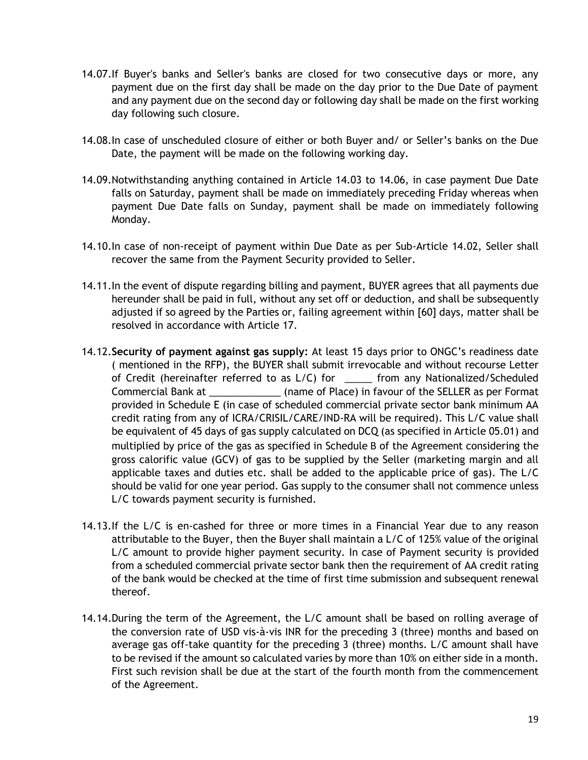- 14.07.If Buyer's banks and Seller's banks are closed for two consecutive days or more, any payment due on the first day shall be made on the day prior to the Due Date of payment and any payment due on the second day or following day shall be made on the first working day following such closure.
- 14.08.In case of unscheduled closure of either or both Buyer and/ or Seller's banks on the Due Date, the payment will be made on the following working day.
- 14.09.Notwithstanding anything contained in Article [14.03](#page-17-1) to [14.06,](#page-17-2) in case payment Due Date falls on Saturday, payment shall be made on immediately preceding Friday whereas when payment Due Date falls on Sunday, payment shall be made on immediately following Monday.
- 14.10.In case of non-receipt of payment within Due Date as per Sub-Article [14.02,](#page-17-0) Seller shall recover the same from the Payment Security provided to Seller.
- 14.11.In the event of dispute regarding billing and payment, BUYER agrees that all payments due hereunder shall be paid in full, without any set off or deduction, and shall be subsequently adjusted if so agreed by the Parties or, failing agreement within [60] days, matter shall be resolved in accordance with [Article 17.](#page-20-1)
- <span id="page-18-0"></span>14.12.**Security of payment against gas supply:** At least 15 days prior to ONGC's readiness date ( mentioned in the RFP), the BUYER shall submit irrevocable and without recourse Letter of Credit (hereinafter referred to as L/C) for \_\_\_\_\_ from any Nationalized/Scheduled Commercial Bank at \_\_\_\_\_\_\_\_\_\_\_\_\_ (name of Place) in favour of the SELLER as per Format provided in [Schedule E](#page-40-0) (in case of scheduled commercial private sector bank minimum AA credit rating from any of ICRA/CRISIL/CARE/IND-RA will be required). This L/C value shall be equivalent of 45 days of gas supply calculated on DCQ (as specified in Article [05.01\)](#page-8-4) and multiplied by price of the gas as specified in [Schedule](#page-36-0) B of the Agreement considering the gross calorific value (GCV) of gas to be supplied by the Seller (marketing margin and all applicable taxes and duties etc. shall be added to the applicable price of gas). The L/C should be valid for one year period. Gas supply to the consumer shall not commence unless L/C towards payment security is furnished.
- 14.13.If the L/C is en-cashed for three or more times in a Financial Year due to any reason attributable to the Buyer, then the Buyer shall maintain a L/C of 125% value of the original L/C amount to provide higher payment security. In case of Payment security is provided from a scheduled commercial private sector bank then the requirement of AA credit rating of the bank would be checked at the time of first time submission and subsequent renewal thereof.
- 14.14.During the term of the Agreement, the L/C amount shall be based on rolling average of the conversion rate of USD vis-à-vis INR for the preceding 3 (three) months and based on average gas off-take quantity for the preceding 3 (three) months. L/C amount shall have to be revised if the amount so calculated varies by more than 10% on either side in a month. First such revision shall be due at the start of the fourth month from the commencement of the Agreement.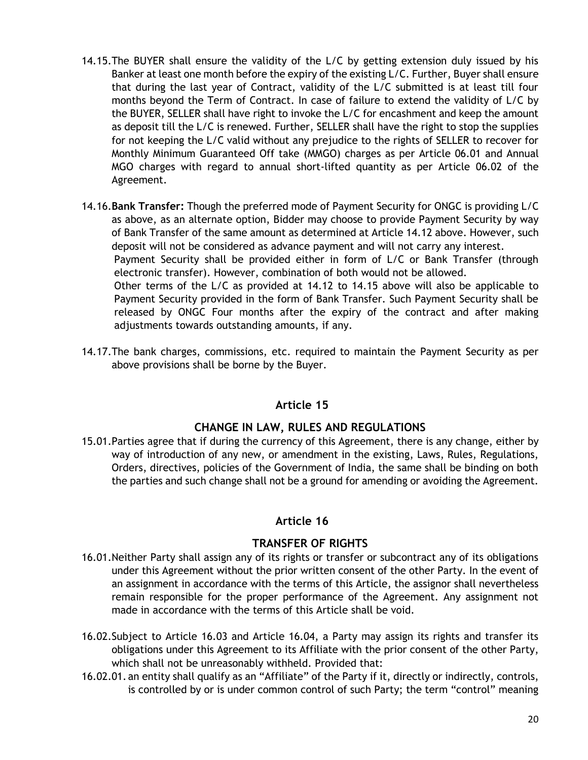- <span id="page-19-3"></span>14.15.The BUYER shall ensure the validity of the L/C by getting extension duly issued by his Banker at least one month before the expiry of the existing L/C. Further, Buyer shall ensure that during the last year of Contract, validity of the L/C submitted is at least till four months beyond the Term of Contract. In case of failure to extend the validity of L/C by the BUYER, SELLER shall have right to invoke the L/C for encashment and keep the amount as deposit till the L/C is renewed. Further, SELLER shall have the right to stop the supplies for not keeping the L/C valid without any prejudice to the rights of SELLER to recover for Monthly Minimum Guaranteed Off take (MMGO) charges as per Article [06.01](#page-9-3) and Annual MGO charges with regard to annual short-lifted quantity as per Article [06.02](#page-9-1) of the Agreement.
- 14.16.**Bank Transfer:** Though the preferred mode of Payment Security for ONGC is providing L/C as above, as an alternate option, Bidder may choose to provide Payment Security by way of Bank Transfer of the same amount as determined at Article [14.12](#page-18-0) above. However, such deposit will not be considered as advance payment and will not carry any interest. Payment Security shall be provided either in form of L/C or Bank Transfer (through electronic transfer). However, combination of both would not be allowed. Other terms of the L/C as provided at [14.12](#page-18-0) to [14.15](#page-19-3) above will also be applicable to Payment Security provided in the form of Bank Transfer. Such Payment Security shall be released by ONGC Four months after the expiry of the contract and after making adjustments towards outstanding amounts, if any.
- 14.17.The bank charges, commissions, etc. required to maintain the Payment Security as per above provisions shall be borne by the Buyer.

# **Article 15**

### **CHANGE IN LAW, RULES AND REGULATIONS**

<span id="page-19-4"></span><span id="page-19-0"></span>15.01.Parties agree that if during the currency of this Agreement, there is any change, either by way of introduction of any new, or amendment in the existing, Laws, Rules, Regulations, Orders, directives, policies of the Government of India, the same shall be binding on both the parties and such change shall not be a ground for amending or avoiding the Agreement.

### **Article 16**

### **TRANSFER OF RIGHTS**

- <span id="page-19-1"></span>16.01.Neither Party shall assign any of its rights or transfer or subcontract any of its obligations under this Agreement without the prior written consent of the other Party. In the event of an assignment in accordance with the terms of this Article, the assignor shall nevertheless remain responsible for the proper performance of the Agreement. Any assignment not made in accordance with the terms of this Article shall be void.
- <span id="page-19-2"></span>16.02.Subject to Article [16.03](#page-20-2) and Article [16.04,](#page-20-3) a Party may assign its rights and transfer its obligations under this Agreement to its Affiliate with the prior consent of the other Party, which shall not be unreasonably withheld. Provided that:
- 16.02.01. an entity shall qualify as an "Affiliate" of the Party if it, directly or indirectly, controls, is controlled by or is under common control of such Party; the term "control" meaning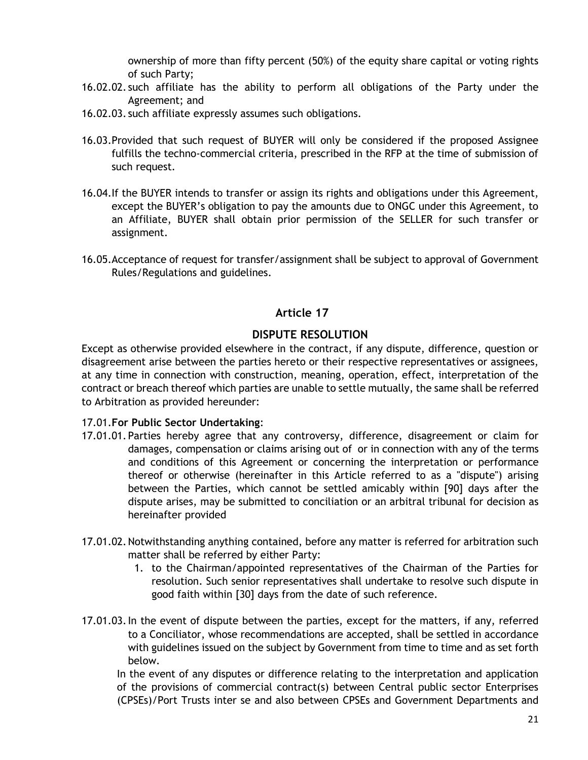ownership of more than fifty percent (50%) of the equity share capital or voting rights of such Party;

- 16.02.02. such affiliate has the ability to perform all obligations of the Party under the Agreement; and
- 16.02.03. such affiliate expressly assumes such obligations.
- <span id="page-20-2"></span>16.03.Provided that such request of BUYER will only be considered if the proposed Assignee fulfills the techno-commercial criteria, prescribed in the RFP at the time of submission of such request.
- <span id="page-20-3"></span>16.04.If the BUYER intends to transfer or assign its rights and obligations under this Agreement, except the BUYER's obligation to pay the amounts due to ONGC under this Agreement, to an Affiliate, BUYER shall obtain prior permission of the SELLER for such transfer or assignment.
- 16.05.Acceptance of request for transfer/assignment shall be subject to approval of Government Rules/Regulations and guidelines.

# **Article 17**

# **DISPUTE RESOLUTION**

<span id="page-20-1"></span><span id="page-20-0"></span>Except as otherwise provided elsewhere in the contract, if any dispute, difference, question or disagreement arise between the parties hereto or their respective representatives or assignees, at any time in connection with construction, meaning, operation, effect, interpretation of the contract or breach thereof which parties are unable to settle mutually, the same shall be referred to Arbitration as provided hereunder:

### 17.01.**For Public Sector Undertaking**:

- 17.01.01.Parties hereby agree that any controversy, difference, disagreement or claim for damages, compensation or claims arising out of or in connection with any of the terms and conditions of this Agreement or concerning the interpretation or performance thereof or otherwise (hereinafter in this Article referred to as a "dispute") arising between the Parties, which cannot be settled amicably within [90] days after the dispute arises, may be submitted to conciliation or an arbitral tribunal for decision as hereinafter provided
- 17.01.02. Notwithstanding anything contained, before any matter is referred for arbitration such matter shall be referred by either Party:
	- 1. to the Chairman/appointed representatives of the Chairman of the Parties for resolution. Such senior representatives shall undertake to resolve such dispute in good faith within [30] days from the date of such reference.
- 17.01.03.In the event of dispute between the parties, except for the matters, if any, referred to a Conciliator, whose recommendations are accepted, shall be settled in accordance with guidelines issued on the subject by Government from time to time and as set forth below.

In the event of any disputes or difference relating to the interpretation and application of the provisions of commercial contract(s) between Central public sector Enterprises (CPSEs)/Port Trusts inter se and also between CPSEs and Government Departments and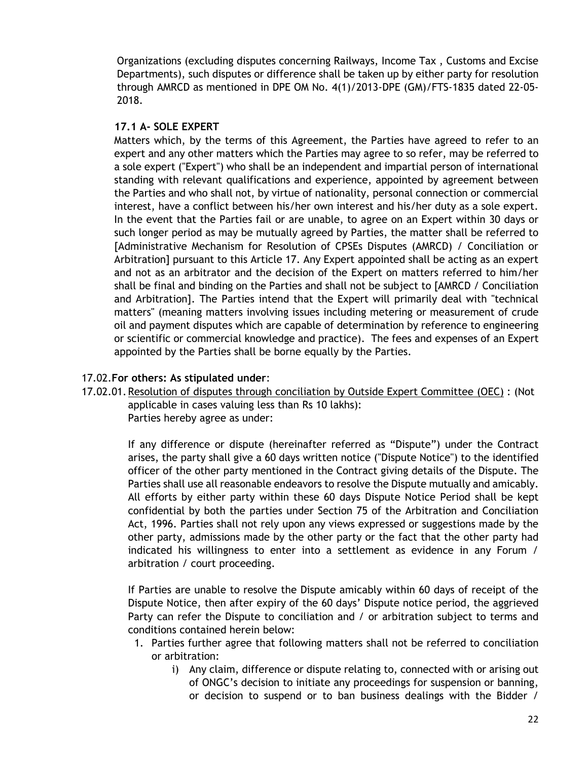Organizations (excluding disputes concerning Railways, Income Tax , Customs and Excise Departments), such disputes or difference shall be taken up by either party for resolution through AMRCD as mentioned in DPE OM No. 4(1)/2013-DPE (GM)/FTS-1835 dated 22-05- 2018.

### **17.1 A- SOLE EXPERT**

Matters which, by the terms of this Agreement, the Parties have agreed to refer to an expert and any other matters which the Parties may agree to so refer, may be referred to a sole expert ("Expert") who shall be an independent and impartial person of international standing with relevant qualifications and experience, appointed by agreement between the Parties and who shall not, by virtue of nationality, personal connection or commercial interest, have a conflict between his/her own interest and his/her duty as a sole expert. In the event that the Parties fail or are unable, to agree on an Expert within 30 days or such longer period as may be mutually agreed by Parties, the matter shall be referred to [Administrative Mechanism for Resolution of CPSEs Disputes (AMRCD) / Conciliation or Arbitration] pursuant to this [Article 17.](#page-20-1) Any Expert appointed shall be acting as an expert and not as an arbitrator and the decision of the Expert on matters referred to him/her shall be final and binding on the Parties and shall not be subject to [AMRCD / Conciliation and Arbitration]. The Parties intend that the Expert will primarily deal with "technical matters" (meaning matters involving issues including metering or measurement of crude oil and payment disputes which are capable of determination by reference to engineering or scientific or commercial knowledge and practice). The fees and expenses of an Expert appointed by the Parties shall be borne equally by the Parties.

### 17.02.**For others: As stipulated under**:

17.02.01.Resolution of disputes through conciliation by Outside Expert Committee (OEC) : (Not applicable in cases valuing less than Rs 10 lakhs): Parties hereby agree as under:

> If any difference or dispute (hereinafter referred as "Dispute") under the Contract arises, the party shall give a 60 days written notice ("Dispute Notice") to the identified officer of the other party mentioned in the Contract giving details of the Dispute. The Parties shall use all reasonable endeavors to resolve the Dispute mutually and amicably. All efforts by either party within these 60 days Dispute Notice Period shall be kept confidential by both the parties under Section 75 of the Arbitration and Conciliation Act, 1996. Parties shall not rely upon any views expressed or suggestions made by the other party, admissions made by the other party or the fact that the other party had indicated his willingness to enter into a settlement as evidence in any Forum / arbitration / court proceeding.

> If Parties are unable to resolve the Dispute amicably within 60 days of receipt of the Dispute Notice, then after expiry of the 60 days' Dispute notice period, the aggrieved Party can refer the Dispute to conciliation and / or arbitration subject to terms and conditions contained herein below:

- 1. Parties further agree that following matters shall not be referred to conciliation or arbitration:
	- i) Any claim, difference or dispute relating to, connected with or arising out of ONGC's decision to initiate any proceedings for suspension or banning, or decision to suspend or to ban business dealings with the Bidder /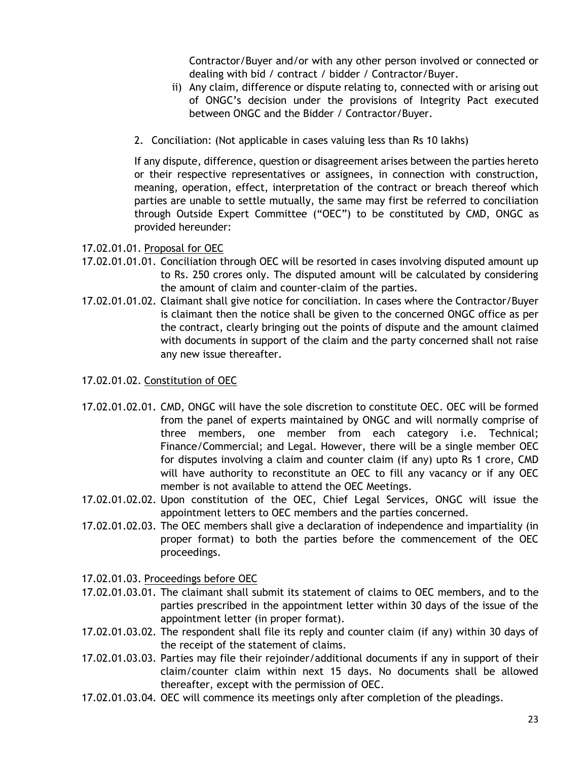Contractor/Buyer and/or with any other person involved or connected or dealing with bid / contract / bidder / Contractor/Buyer.

- ii) Any claim, difference or dispute relating to, connected with or arising out of ONGC's decision under the provisions of Integrity Pact executed between ONGC and the Bidder / Contractor/Buyer.
- 2. Conciliation: (Not applicable in cases valuing less than Rs 10 lakhs)

If any dispute, difference, question or disagreement arises between the parties hereto or their respective representatives or assignees, in connection with construction, meaning, operation, effect, interpretation of the contract or breach thereof which parties are unable to settle mutually, the same may first be referred to conciliation through Outside Expert Committee ("OEC") to be constituted by CMD, ONGC as provided hereunder:

17.02.01.01. Proposal for OEC

- 17.02.01.01.01. Conciliation through OEC will be resorted in cases involving disputed amount up to Rs. 250 crores only. The disputed amount will be calculated by considering the amount of claim and counter-claim of the parties.
- 17.02.01.01.02. Claimant shall give notice for conciliation. In cases where the Contractor/Buyer is claimant then the notice shall be given to the concerned ONGC office as per the contract, clearly bringing out the points of dispute and the amount claimed with documents in support of the claim and the party concerned shall not raise any new issue thereafter.
- 17.02.01.02. Constitution of OEC
- 17.02.01.02.01. CMD, ONGC will have the sole discretion to constitute OEC. OEC will be formed from the panel of experts maintained by ONGC and will normally comprise of three members, one member from each category i.e. Technical; Finance/Commercial; and Legal. However, there will be a single member OEC for disputes involving a claim and counter claim (if any) upto Rs 1 crore, CMD will have authority to reconstitute an OEC to fill any vacancy or if any OEC member is not available to attend the OEC Meetings.
- 17.02.01.02.02. Upon constitution of the OEC, Chief Legal Services, ONGC will issue the appointment letters to OEC members and the parties concerned.
- 17.02.01.02.03. The OEC members shall give a declaration of independence and impartiality (in proper format) to both the parties before the commencement of the OEC proceedings.
- 17.02.01.03. Proceedings before OEC
- 17.02.01.03.01. The claimant shall submit its statement of claims to OEC members, and to the parties prescribed in the appointment letter within 30 days of the issue of the appointment letter (in proper format).
- 17.02.01.03.02. The respondent shall file its reply and counter claim (if any) within 30 days of the receipt of the statement of claims.
- 17.02.01.03.03. Parties may file their rejoinder/additional documents if any in support of their claim/counter claim within next 15 days. No documents shall be allowed thereafter, except with the permission of OEC.
- 17.02.01.03.04. OEC will commence its meetings only after completion of the pleadings.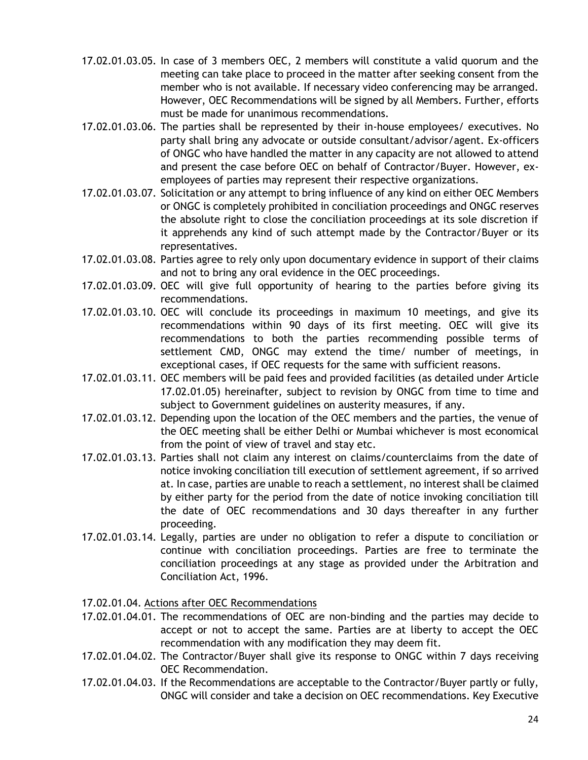- 17.02.01.03.05. In case of 3 members OEC, 2 members will constitute a valid quorum and the meeting can take place to proceed in the matter after seeking consent from the member who is not available. If necessary video conferencing may be arranged. However, OEC Recommendations will be signed by all Members. Further, efforts must be made for unanimous recommendations.
- 17.02.01.03.06. The parties shall be represented by their in-house employees/ executives. No party shall bring any advocate or outside consultant/advisor/agent. Ex-officers of ONGC who have handled the matter in any capacity are not allowed to attend and present the case before OEC on behalf of Contractor/Buyer. However, exemployees of parties may represent their respective organizations.
- 17.02.01.03.07. Solicitation or any attempt to bring influence of any kind on either OEC Members or ONGC is completely prohibited in conciliation proceedings and ONGC reserves the absolute right to close the conciliation proceedings at its sole discretion if it apprehends any kind of such attempt made by the Contractor/Buyer or its representatives.
- 17.02.01.03.08. Parties agree to rely only upon documentary evidence in support of their claims and not to bring any oral evidence in the OEC proceedings.
- 17.02.01.03.09. OEC will give full opportunity of hearing to the parties before giving its recommendations.
- 17.02.01.03.10. OEC will conclude its proceedings in maximum 10 meetings, and give its recommendations within 90 days of its first meeting. OEC will give its recommendations to both the parties recommending possible terms of settlement CMD, ONGC may extend the time/ number of meetings, in exceptional cases, if OEC requests for the same with sufficient reasons.
- 17.02.01.03.11. OEC members will be paid fees and provided facilities (as detailed under Article [17.02.01.05\)](#page-24-0) hereinafter, subject to revision by ONGC from time to time and subject to Government guidelines on austerity measures, if any.
- 17.02.01.03.12. Depending upon the location of the OEC members and the parties, the venue of the OEC meeting shall be either Delhi or Mumbai whichever is most economical from the point of view of travel and stay etc.
- 17.02.01.03.13. Parties shall not claim any interest on claims/counterclaims from the date of notice invoking conciliation till execution of settlement agreement, if so arrived at. In case, parties are unable to reach a settlement, no interest shall be claimed by either party for the period from the date of notice invoking conciliation till the date of OEC recommendations and 30 days thereafter in any further proceeding.
- 17.02.01.03.14. Legally, parties are under no obligation to refer a dispute to conciliation or continue with conciliation proceedings. Parties are free to terminate the conciliation proceedings at any stage as provided under the Arbitration and Conciliation Act, 1996.
- 17.02.01.04. Actions after OEC Recommendations
- 17.02.01.04.01. The recommendations of OEC are non-binding and the parties may decide to accept or not to accept the same. Parties are at liberty to accept the OEC recommendation with any modification they may deem fit.
- 17.02.01.04.02. The Contractor/Buyer shall give its response to ONGC within 7 days receiving OEC Recommendation.
- 17.02.01.04.03. If the Recommendations are acceptable to the Contractor/Buyer partly or fully, ONGC will consider and take a decision on OEC recommendations. Key Executive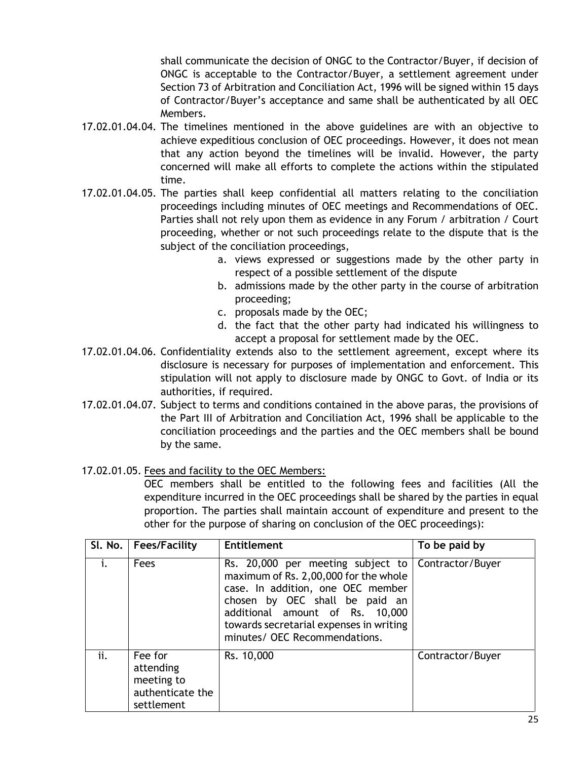shall communicate the decision of ONGC to the Contractor/Buyer, if decision of ONGC is acceptable to the Contractor/Buyer, a settlement agreement under Section 73 of Arbitration and Conciliation Act, 1996 will be signed within 15 days of Contractor/Buyer's acceptance and same shall be authenticated by all OEC Members.

- 17.02.01.04.04. The timelines mentioned in the above guidelines are with an objective to achieve expeditious conclusion of OEC proceedings. However, it does not mean that any action beyond the timelines will be invalid. However, the party concerned will make all efforts to complete the actions within the stipulated time.
- 17.02.01.04.05. The parties shall keep confidential all matters relating to the conciliation proceedings including minutes of OEC meetings and Recommendations of OEC. Parties shall not rely upon them as evidence in any Forum / arbitration / Court proceeding, whether or not such proceedings relate to the dispute that is the subject of the conciliation proceedings,
	- a. views expressed or suggestions made by the other party in respect of a possible settlement of the dispute
	- b. admissions made by the other party in the course of arbitration proceeding;
	- c. proposals made by the OEC;
	- d. the fact that the other party had indicated his willingness to accept a proposal for settlement made by the OEC.
- 17.02.01.04.06. Confidentiality extends also to the settlement agreement, except where its disclosure is necessary for purposes of implementation and enforcement. This stipulation will not apply to disclosure made by ONGC to Govt. of India or its authorities, if required.
- 17.02.01.04.07. Subject to terms and conditions contained in the above paras, the provisions of the Part III of Arbitration and Conciliation Act, 1996 shall be applicable to the conciliation proceedings and the parties and the OEC members shall be bound by the same.

# <span id="page-24-0"></span>17.02.01.05. Fees and facility to the OEC Members:

OEC members shall be entitled to the following fees and facilities (All the expenditure incurred in the OEC proceedings shall be shared by the parties in equal proportion. The parties shall maintain account of expenditure and present to the other for the purpose of sharing on conclusion of the OEC proceedings):

|     | SI. No.   Fees/Facility                                              | <b>Entitlement</b>                                                                                                                                                                                                                                                                | To be paid by    |
|-----|----------------------------------------------------------------------|-----------------------------------------------------------------------------------------------------------------------------------------------------------------------------------------------------------------------------------------------------------------------------------|------------------|
|     | Fees                                                                 | Rs. 20,000 per meeting subject to Contractor/Buyer<br>maximum of Rs. 2,00,000 for the whole<br>case. In addition, one OEC member<br>chosen by OEC shall be paid an<br>additional amount of Rs. 10,000<br>towards secretarial expenses in writing<br>minutes/ OEC Recommendations. |                  |
| ii. | Fee for<br>attending<br>meeting to<br>authenticate the<br>settlement | Rs. 10,000                                                                                                                                                                                                                                                                        | Contractor/Buyer |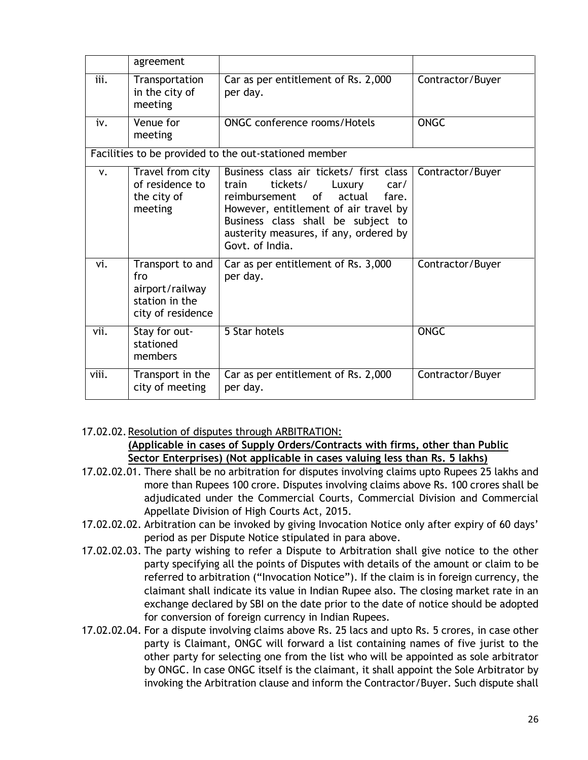|             | agreement                                                                         |                                                                                                                                                                                                                                                                      |                  |
|-------------|-----------------------------------------------------------------------------------|----------------------------------------------------------------------------------------------------------------------------------------------------------------------------------------------------------------------------------------------------------------------|------------------|
| iii.        | Transportation<br>in the city of<br>meeting                                       | Car as per entitlement of Rs. 2,000<br>per day.                                                                                                                                                                                                                      | Contractor/Buyer |
| iv.         | Venue for<br>meeting                                                              | <b>ONGC conference rooms/Hotels</b>                                                                                                                                                                                                                                  | <b>ONGC</b>      |
|             |                                                                                   | Facilities to be provided to the out-stationed member                                                                                                                                                                                                                |                  |
| $V_{\star}$ | Travel from city<br>of residence to<br>the city of<br>meeting                     | Business class air tickets/ first class<br>tickets/<br>Luxury<br>train<br>car/<br>of<br>actual<br>reimbursement<br>fare.<br>However, entitlement of air travel by<br>Business class shall be subject to<br>austerity measures, if any, ordered by<br>Govt. of India. | Contractor/Buyer |
| vi.         | Transport to and<br>fro<br>airport/railway<br>station in the<br>city of residence | Car as per entitlement of Rs. 3,000<br>per day.                                                                                                                                                                                                                      | Contractor/Buyer |
| vii.        | Stay for out-<br>stationed<br>members                                             | 5 Star hotels                                                                                                                                                                                                                                                        | <b>ONGC</b>      |
| viii.       | Transport in the<br>city of meeting                                               | Car as per entitlement of Rs. 2,000<br>per day.                                                                                                                                                                                                                      | Contractor/Buyer |

17.02.02.Resolution of disputes through ARBITRATION:

### **(Applicable in cases of Supply Orders/Contracts with firms, other than Public Sector Enterprises) (Not applicable in cases valuing less than Rs. 5 lakhs)**

- 17.02.02.01. There shall be no arbitration for disputes involving claims upto Rupees 25 lakhs and more than Rupees 100 crore. Disputes involving claims above Rs. 100 crores shall be adjudicated under the Commercial Courts, Commercial Division and Commercial Appellate Division of High Courts Act, 2015.
- 17.02.02.02. Arbitration can be invoked by giving Invocation Notice only after expiry of 60 days' period as per Dispute Notice stipulated in para above.
- 17.02.02.03. The party wishing to refer a Dispute to Arbitration shall give notice to the other party specifying all the points of Disputes with details of the amount or claim to be referred to arbitration ("Invocation Notice"). If the claim is in foreign currency, the claimant shall indicate its value in Indian Rupee also. The closing market rate in an exchange declared by SBI on the date prior to the date of notice should be adopted for conversion of foreign currency in Indian Rupees.
- 17.02.02.04. For a dispute involving claims above Rs. 25 lacs and upto Rs. 5 crores, in case other party is Claimant, ONGC will forward a list containing names of five jurist to the other party for selecting one from the list who will be appointed as sole arbitrator by ONGC. In case ONGC itself is the claimant, it shall appoint the Sole Arbitrator by invoking the Arbitration clause and inform the Contractor/Buyer. Such dispute shall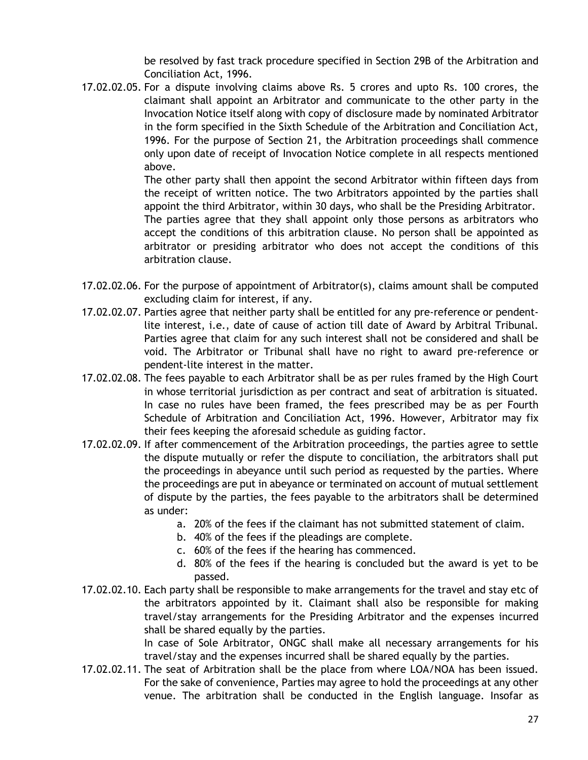be resolved by fast track procedure specified in Section 29B of the Arbitration and Conciliation Act, 1996.

17.02.02.05. For a dispute involving claims above Rs. 5 crores and upto Rs. 100 crores, the claimant shall appoint an Arbitrator and communicate to the other party in the Invocation Notice itself along with copy of disclosure made by nominated Arbitrator in the form specified in the Sixth Schedule of the Arbitration and Conciliation Act, 1996. For the purpose of Section 21, the Arbitration proceedings shall commence only upon date of receipt of Invocation Notice complete in all respects mentioned above.

The other party shall then appoint the second Arbitrator within fifteen days from the receipt of written notice. The two Arbitrators appointed by the parties shall appoint the third Arbitrator, within 30 days, who shall be the Presiding Arbitrator. The parties agree that they shall appoint only those persons as arbitrators who accept the conditions of this arbitration clause. No person shall be appointed as arbitrator or presiding arbitrator who does not accept the conditions of this arbitration clause.

- 17.02.02.06. For the purpose of appointment of Arbitrator(s), claims amount shall be computed excluding claim for interest, if any.
- 17.02.02.07. Parties agree that neither party shall be entitled for any pre-reference or pendentlite interest, i.e., date of cause of action till date of Award by Arbitral Tribunal. Parties agree that claim for any such interest shall not be considered and shall be void. The Arbitrator or Tribunal shall have no right to award pre-reference or pendent-lite interest in the matter.
- 17.02.02.08. The fees payable to each Arbitrator shall be as per rules framed by the High Court in whose territorial jurisdiction as per contract and seat of arbitration is situated. In case no rules have been framed, the fees prescribed may be as per Fourth Schedule of Arbitration and Conciliation Act, 1996. However, Arbitrator may fix their fees keeping the aforesaid schedule as guiding factor.
- 17.02.02.09. If after commencement of the Arbitration proceedings, the parties agree to settle the dispute mutually or refer the dispute to conciliation, the arbitrators shall put the proceedings in abeyance until such period as requested by the parties. Where the proceedings are put in abeyance or terminated on account of mutual settlement of dispute by the parties, the fees payable to the arbitrators shall be determined as under:
	- a. 20% of the fees if the claimant has not submitted statement of claim.
	- b. 40% of the fees if the pleadings are complete.
	- c. 60% of the fees if the hearing has commenced.
	- d. 80% of the fees if the hearing is concluded but the award is yet to be passed.
- 17.02.02.10. Each party shall be responsible to make arrangements for the travel and stay etc of the arbitrators appointed by it. Claimant shall also be responsible for making travel/stay arrangements for the Presiding Arbitrator and the expenses incurred shall be shared equally by the parties.

In case of Sole Arbitrator, ONGC shall make all necessary arrangements for his travel/stay and the expenses incurred shall be shared equally by the parties.

17.02.02.11. The seat of Arbitration shall be the place from where LOA/NOA has been issued. For the sake of convenience, Parties may agree to hold the proceedings at any other venue. The arbitration shall be conducted in the English language. Insofar as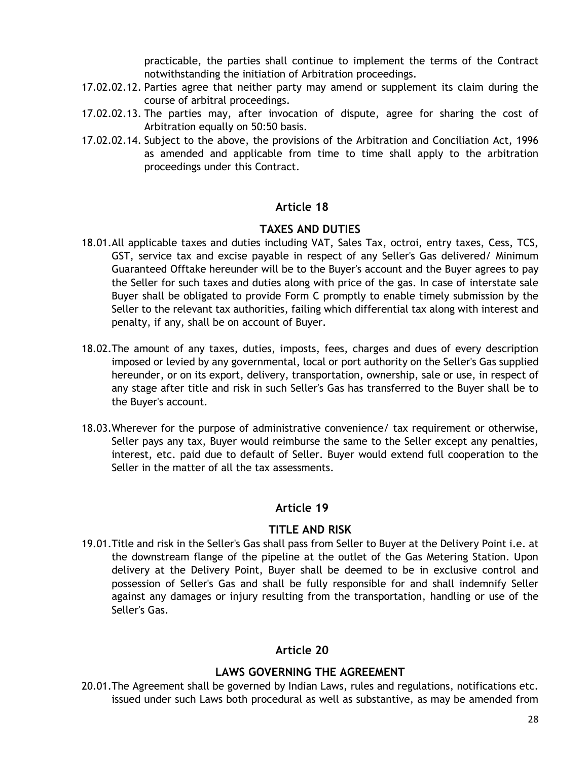practicable, the parties shall continue to implement the terms of the Contract notwithstanding the initiation of Arbitration proceedings.

- 17.02.02.12. Parties agree that neither party may amend or supplement its claim during the course of arbitral proceedings.
- 17.02.02.13. The parties may, after invocation of dispute, agree for sharing the cost of Arbitration equally on 50:50 basis.
- 17.02.02.14. Subject to the above, the provisions of the Arbitration and Conciliation Act, 1996 as amended and applicable from time to time shall apply to the arbitration proceedings under this Contract.

### **Article 18**

### **TAXES AND DUTIES**

- <span id="page-27-0"></span>18.01.All applicable taxes and duties including VAT, Sales Tax, octroi, entry taxes, Cess, TCS, GST, service tax and excise payable in respect of any Seller's Gas delivered/ Minimum Guaranteed Offtake hereunder will be to the Buyer's account and the Buyer agrees to pay the Seller for such taxes and duties along with price of the gas. In case of interstate sale Buyer shall be obligated to provide Form C promptly to enable timely submission by the Seller to the relevant tax authorities, failing which differential tax along with interest and penalty, if any, shall be on account of Buyer.
- 18.02.The amount of any taxes, duties, imposts, fees, charges and dues of every description imposed or levied by any governmental, local or port authority on the Seller's Gas supplied hereunder, or on its export, delivery, transportation, ownership, sale or use, in respect of any stage after title and risk in such Seller's Gas has transferred to the Buyer shall be to the Buyer's account.
- 18.03.Wherever for the purpose of administrative convenience/ tax requirement or otherwise, Seller pays any tax, Buyer would reimburse the same to the Seller except any penalties, interest, etc. paid due to default of Seller. Buyer would extend full cooperation to the Seller in the matter of all the tax assessments.

### **Article 19**

### **TITLE AND RISK**

<span id="page-27-1"></span>19.01.Title and risk in the Seller's Gas shall pass from Seller to Buyer at the Delivery Point i.e. at the downstream flange of the pipeline at the outlet of the Gas Metering Station. Upon delivery at the Delivery Point, Buyer shall be deemed to be in exclusive control and possession of Seller's Gas and shall be fully responsible for and shall indemnify Seller against any damages or injury resulting from the transportation, handling or use of the Seller's Gas.

# **Article 20**

# **LAWS GOVERNING THE AGREEMENT**

<span id="page-27-2"></span>20.01.The Agreement shall be governed by Indian Laws, rules and regulations, notifications etc. issued under such Laws both procedural as well as substantive, as may be amended from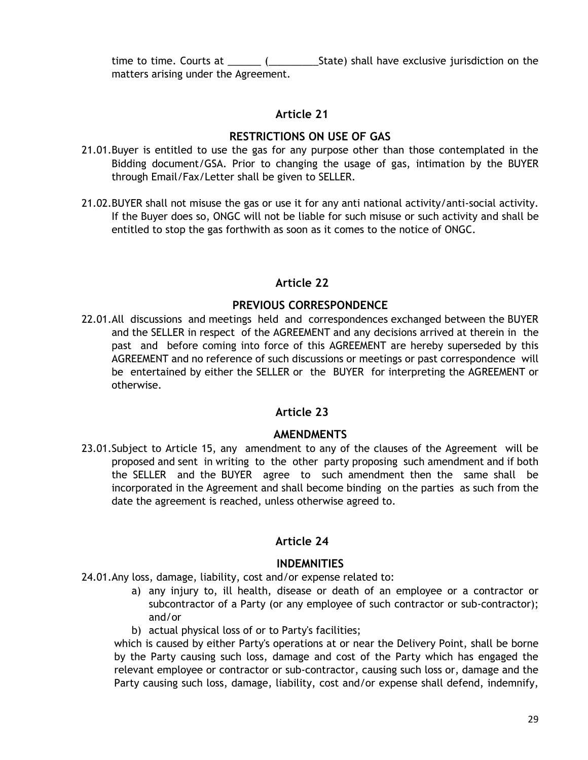time to time. Courts at  $\qquad \qquad$  (State) shall have exclusive jurisdiction on the matters arising under the Agreement.

# **Article 21**

# **RESTRICTIONS ON USE OF GAS**

- <span id="page-28-0"></span>21.01.Buyer is entitled to use the gas for any purpose other than those contemplated in the Bidding document/GSA. Prior to changing the usage of gas, intimation by the BUYER through Email/Fax/Letter shall be given to SELLER.
- 21.02.BUYER shall not misuse the gas or use it for any anti national activity/anti-social activity. If the Buyer does so, ONGC will not be liable for such misuse or such activity and shall be entitled to stop the gas forthwith as soon as it comes to the notice of ONGC.

# **Article 22**

# **PREVIOUS CORRESPONDENCE**

<span id="page-28-1"></span>22.01.All discussions and meetings held and correspondences exchanged between the BUYER and the SELLER in respect of the AGREEMENT and any decisions arrived at therein in the past and before coming into force of this AGREEMENT are hereby superseded by this AGREEMENT and no reference of such discussions or meetings or past correspondence will be entertained by either the SELLER or the BUYER for interpreting the AGREEMENT or otherwise.

# **Article 23**

# **AMENDMENTS**

<span id="page-28-2"></span>23.01.Subject to [Article 15,](#page-19-4) any amendment to any of the clauses of the Agreement will be proposed and sent in writing to the other party proposing such amendment and if both the SELLER and the BUYER agree to such amendment then the same shall be incorporated in the Agreement and shall become binding on the parties as such from the date the agreement is reached, unless otherwise agreed to.

# **Article 24**

# **INDEMNITIES**

<span id="page-28-4"></span><span id="page-28-3"></span>24.01.Any loss, damage, liability, cost and/or expense related to:

- a) any injury to, ill health, disease or death of an employee or a contractor or subcontractor of a Party (or any employee of such contractor or sub-contractor); and/or
- b) actual physical loss of or to Party's facilities;

which is caused by either Party's operations at or near the Delivery Point, shall be borne by the Party causing such loss, damage and cost of the Party which has engaged the relevant employee or contractor or sub-contractor, causing such loss or, damage and the Party causing such loss, damage, liability, cost and/or expense shall defend, indemnify,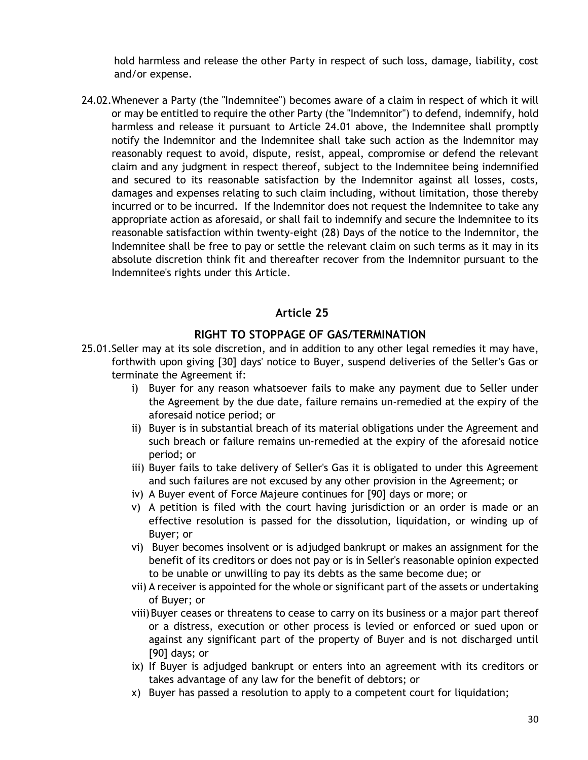hold harmless and release the other Party in respect of such loss, damage, liability, cost and/or expense.

24.02.Whenever a Party (the "Indemnitee") becomes aware of a claim in respect of which it will or may be entitled to require the other Party (the "Indemnitor") to defend, indemnify, hold harmless and release it pursuant to Article [24.01](#page-28-4) above, the Indemnitee shall promptly notify the Indemnitor and the Indemnitee shall take such action as the Indemnitor may reasonably request to avoid, dispute, resist, appeal, compromise or defend the relevant claim and any judgment in respect thereof, subject to the Indemnitee being indemnified and secured to its reasonable satisfaction by the Indemnitor against all losses, costs, damages and expenses relating to such claim including, without limitation, those thereby incurred or to be incurred. If the Indemnitor does not request the Indemnitee to take any appropriate action as aforesaid, or shall fail to indemnify and secure the Indemnitee to its reasonable satisfaction within twenty-eight (28) Days of the notice to the Indemnitor, the Indemnitee shall be free to pay or settle the relevant claim on such terms as it may in its absolute discretion think fit and thereafter recover from the Indemnitor pursuant to the Indemnitee's rights under this Article.

# **Article 25**

### **RIGHT TO STOPPAGE OF GAS/TERMINATION**

- <span id="page-29-2"></span><span id="page-29-1"></span><span id="page-29-0"></span>25.01.Seller may at its sole discretion, and in addition to any other legal remedies it may have, forthwith upon giving [30] days' notice to Buyer, suspend deliveries of the Seller's Gas or terminate the Agreement if:
	- i) Buyer for any reason whatsoever fails to make any payment due to Seller under the Agreement by the due date, failure remains un-remedied at the expiry of the aforesaid notice period; or
	- ii) Buyer is in substantial breach of its material obligations under the Agreement and such breach or failure remains un-remedied at the expiry of the aforesaid notice period; or
	- iii) Buyer fails to take delivery of Seller's Gas it is obligated to under this Agreement and such failures are not excused by any other provision in the Agreement; or
	- iv) A Buyer event of Force Majeure continues for [90] days or more; or
	- v) A petition is filed with the court having jurisdiction or an order is made or an effective resolution is passed for the dissolution, liquidation, or winding up of Buyer; or
	- vi) Buyer becomes insolvent or is adjudged bankrupt or makes an assignment for the benefit of its creditors or does not pay or is in Seller's reasonable opinion expected to be unable or unwilling to pay its debts as the same become due; or
	- vii) A receiver is appointed for the whole or significant part of the assets or undertaking of Buyer; or
	- viii)Buyer ceases or threatens to cease to carry on its business or a major part thereof or a distress, execution or other process is levied or enforced or sued upon or against any significant part of the property of Buyer and is not discharged until [90] days; or
	- ix) If Buyer is adjudged bankrupt or enters into an agreement with its creditors or takes advantage of any law for the benefit of debtors; or
	- x) Buyer has passed a resolution to apply to a competent court for liquidation;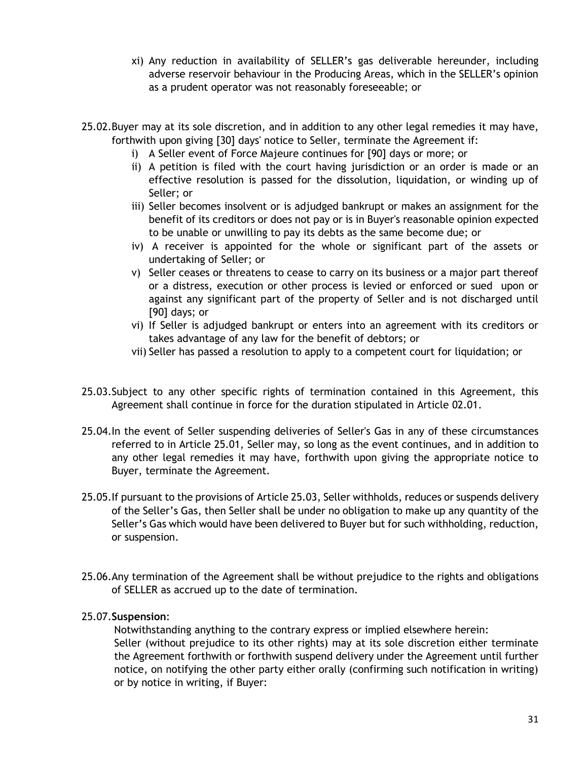- xi) Any reduction in availability of SELLER's gas deliverable hereunder, including adverse reservoir behaviour in the Producing Areas, which in the SELLER's opinion as a prudent operator was not reasonably foreseeable; or
- 25.02.Buyer may at its sole discretion, and in addition to any other legal remedies it may have, forthwith upon giving [30] days' notice to Seller, terminate the Agreement if:
	- i) A Seller event of Force Majeure continues for [90] days or more; or
	- ii) A petition is filed with the court having jurisdiction or an order is made or an effective resolution is passed for the dissolution, liquidation, or winding up of Seller; or
	- iii) Seller becomes insolvent or is adjudged bankrupt or makes an assignment for the benefit of its creditors or does not pay or is in Buyer's reasonable opinion expected to be unable or unwilling to pay its debts as the same become due; or
	- iv) A receiver is appointed for the whole or significant part of the assets or undertaking of Seller; or
	- v) Seller ceases or threatens to cease to carry on its business or a major part thereof or a distress, execution or other process is levied or enforced or sued upon or against any significant part of the property of Seller and is not discharged until [90] days; or
	- vi) If Seller is adjudged bankrupt or enters into an agreement with its creditors or takes advantage of any law for the benefit of debtors; or
	- vii) Seller has passed a resolution to apply to a competent court for liquidation; or
- <span id="page-30-0"></span>25.03.Subject to any other specific rights of termination contained in this Agreement, this Agreement shall continue in force for the duration stipulated in Article [02.01.](#page-6-4)
- 25.04.In the event of Seller suspending deliveries of Seller's Gas in any of these circumstances referred to in Article [25.01,](#page-29-2) Seller may, so long as the event continues, and in addition to any other legal remedies it may have, forthwith upon giving the appropriate notice to Buyer, terminate the Agreement.
- 25.05.If pursuant to the provisions of Article [25.03,](#page-30-0) Seller withholds, reduces or suspends delivery of the Seller's Gas, then Seller shall be under no obligation to make up any quantity of the Seller's Gas which would have been delivered to Buyer but for such withholding, reduction, or suspension.
- 25.06.Any termination of the Agreement shall be without prejudice to the rights and obligations of SELLER as accrued up to the date of termination.

# 25.07.**Suspension**:

Notwithstanding anything to the contrary express or implied elsewhere herein: Seller (without prejudice to its other rights) may at its sole discretion either terminate the Agreement forthwith or forthwith suspend delivery under the Agreement until further notice, on notifying the other party either orally (confirming such notification in writing) or by notice in writing, if Buyer: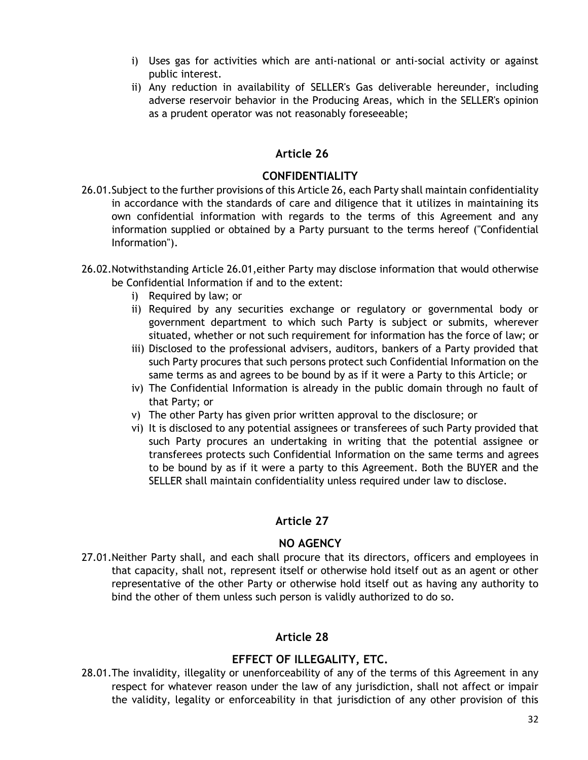- i) Uses gas for activities which are anti-national or anti-social activity or against public interest.
- ii) Any reduction in availability of SELLER's Gas deliverable hereunder, including adverse reservoir behavior in the Producing Areas, which in the SELLER's opinion as a prudent operator was not reasonably foreseeable;

# **Article 26**

# **CONFIDENTIALITY**

- <span id="page-31-4"></span><span id="page-31-3"></span><span id="page-31-0"></span>26.01.Subject to the further provisions of thi[s Article 26,](#page-31-3) each Party shall maintain confidentiality in accordance with the standards of care and diligence that it utilizes in maintaining its own confidential information with regards to the terms of this Agreement and any information supplied or obtained by a Party pursuant to the terms hereof ("Confidential Information").
- 26.02.Notwithstanding Article [26.01,](#page-31-4)either Party may disclose information that would otherwise be Confidential Information if and to the extent:
	- i) Required by law; or
	- ii) Required by any securities exchange or regulatory or governmental body or government department to which such Party is subject or submits, wherever situated, whether or not such requirement for information has the force of law; or
	- iii) Disclosed to the professional advisers, auditors, bankers of a Party provided that such Party procures that such persons protect such Confidential Information on the same terms as and agrees to be bound by as if it were a Party to this Article; or
	- iv) The Confidential Information is already in the public domain through no fault of that Party; or
	- v) The other Party has given prior written approval to the disclosure; or
	- vi) It is disclosed to any potential assignees or transferees of such Party provided that such Party procures an undertaking in writing that the potential assignee or transferees protects such Confidential Information on the same terms and agrees to be bound by as if it were a party to this Agreement. Both the BUYER and the SELLER shall maintain confidentiality unless required under law to disclose.

# **Article 27**

# **NO AGENCY**

<span id="page-31-1"></span>27.01.Neither Party shall, and each shall procure that its directors, officers and employees in that capacity, shall not, represent itself or otherwise hold itself out as an agent or other representative of the other Party or otherwise hold itself out as having any authority to bind the other of them unless such person is validly authorized to do so.

# **Article 28**

# **EFFECT OF ILLEGALITY, ETC.**

<span id="page-31-2"></span>28.01.The invalidity, illegality or unenforceability of any of the terms of this Agreement in any respect for whatever reason under the law of any jurisdiction, shall not affect or impair the validity, legality or enforceability in that jurisdiction of any other provision of this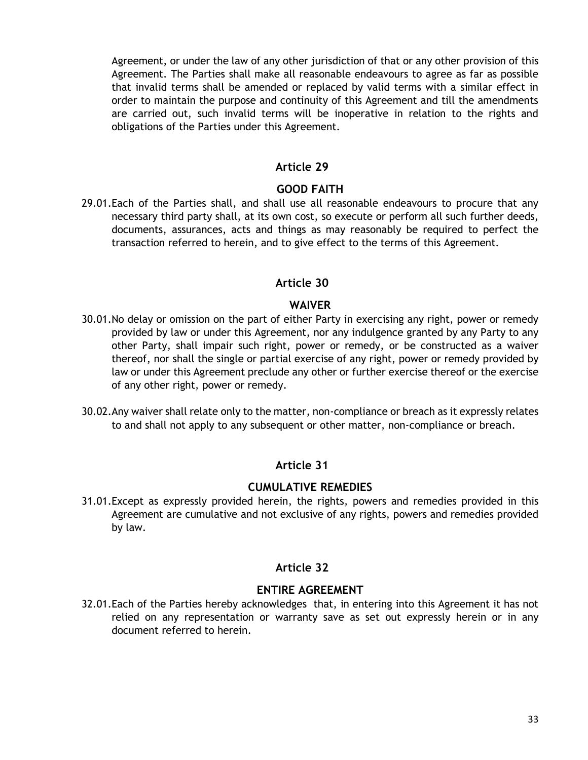Agreement, or under the law of any other jurisdiction of that or any other provision of this Agreement. The Parties shall make all reasonable endeavours to agree as far as possible that invalid terms shall be amended or replaced by valid terms with a similar effect in order to maintain the purpose and continuity of this Agreement and till the amendments are carried out, such invalid terms will be inoperative in relation to the rights and obligations of the Parties under this Agreement.

### **Article 29**

#### **GOOD FAITH**

<span id="page-32-0"></span>29.01.Each of the Parties shall, and shall use all reasonable endeavours to procure that any necessary third party shall, at its own cost, so execute or perform all such further deeds, documents, assurances, acts and things as may reasonably be required to perfect the transaction referred to herein, and to give effect to the terms of this Agreement.

#### **Article 30**

#### **WAIVER**

- <span id="page-32-1"></span>30.01.No delay or omission on the part of either Party in exercising any right, power or remedy provided by law or under this Agreement, nor any indulgence granted by any Party to any other Party, shall impair such right, power or remedy, or be constructed as a waiver thereof, nor shall the single or partial exercise of any right, power or remedy provided by law or under this Agreement preclude any other or further exercise thereof or the exercise of any other right, power or remedy.
- 30.02.Any waiver shall relate only to the matter, non-compliance or breach as it expressly relates to and shall not apply to any subsequent or other matter, non-compliance or breach.

### **Article 31**

#### **CUMULATIVE REMEDIES**

<span id="page-32-2"></span>31.01.Except as expressly provided herein, the rights, powers and remedies provided in this Agreement are cumulative and not exclusive of any rights, powers and remedies provided by law.

#### **Article 32**

### **ENTIRE AGREEMENT**

<span id="page-32-3"></span>32.01.Each of the Parties hereby acknowledges that, in entering into this Agreement it has not relied on any representation or warranty save as set out expressly herein or in any document referred to herein.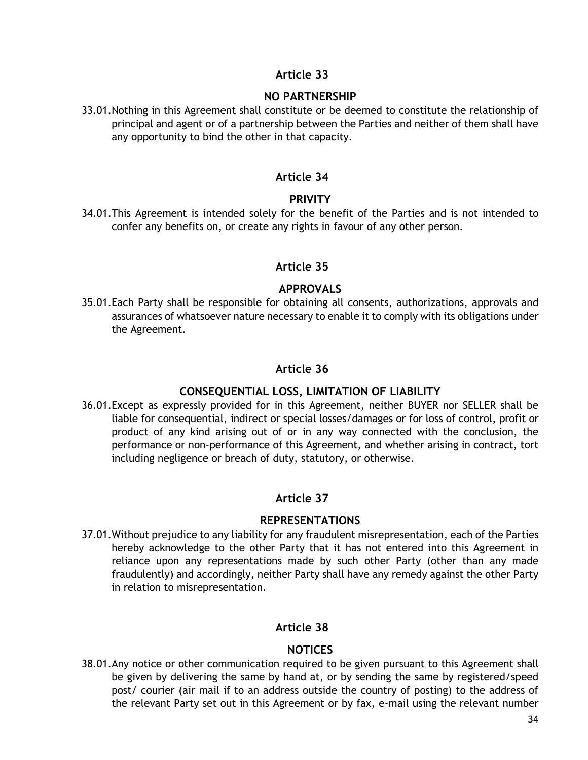### **Article 33**

### **NO PARTNERSHIP**

<span id="page-33-0"></span>33.01.Nothing in this Agreement shall constitute or be deemed to constitute the relationship of principal and agent or of a partnership between the Parties and neither of them shall have any opportunity to bind the other in that capacity.

### **Article 34**

### **PRIVITY**

<span id="page-33-1"></span>34.01.This Agreement is intended solely for the benefit of the Parties and is not intended to confer any benefits on, or create any rights in favour of any other person.

### **Article 35**

### **APPROVALS**

<span id="page-33-2"></span>35.01.Each Party shall be responsible for obtaining all consents, authorizations, approvals and assurances of whatsoever nature necessary to enable it to comply with its obligations under the Agreement.

### **Article 36**

# **CONSEQUENTIAL LOSS, LIMITATION OF LIABILITY**

<span id="page-33-3"></span>36.01.Except as expressly provided for in this Agreement, neither BUYER nor SELLER shall be liable for consequential, indirect or special losses/damages or for loss of control, profit or product of any kind arising out of or in any way connected with the conclusion, the performance or non-performance of this Agreement, and whether arising in contract, tort including negligence or breach of duty, statutory, or otherwise.

# **Article 37**

### **REPRESENTATIONS**

<span id="page-33-4"></span>37.01.Without prejudice to any liability for any fraudulent misrepresentation, each of the Parties hereby acknowledge to the other Party that it has not entered into this Agreement in reliance upon any representations made by such other Party (other than any made fraudulently) and accordingly, neither Party shall have any remedy against the other Party in relation to misrepresentation.

### **Article 38**

# **NOTICES**

<span id="page-33-5"></span>38.01.Any notice or other communication required to be given pursuant to this Agreement shall be given by delivering the same by hand at, or by sending the same by registered/speed post/ courier (air mail if to an address outside the country of posting) to the address of the relevant Party set out in this Agreement or by fax, e-mail using the relevant number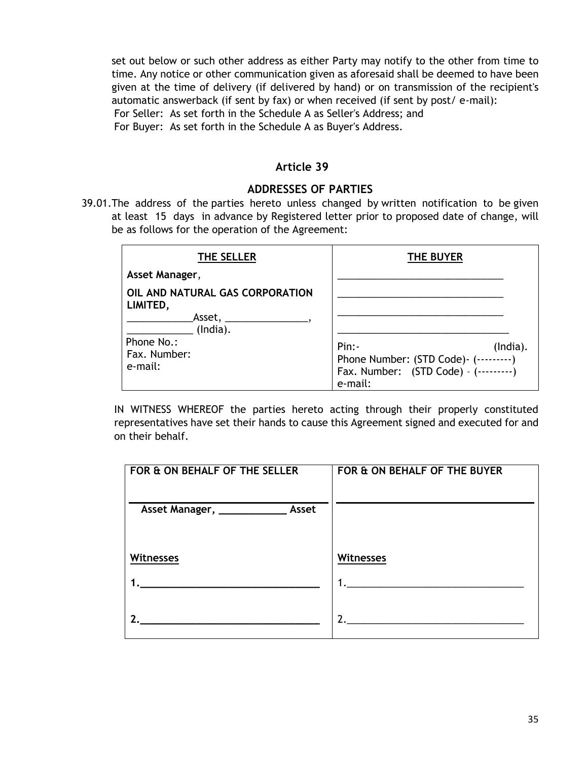set out below or such other address as either Party may notify to the other from time to time. Any notice or other communication given as aforesaid shall be deemed to have been given at the time of delivery (if delivered by hand) or on transmission of the recipient's automatic answerback (if sent by fax) or when received (if sent by post/ e-mail): For Seller: As set forth in the [Schedule A](#page-35-0) as Seller's Address; and For Buyer: As set forth in the [Schedule A](#page-35-0) as Buyer's Address.

### **Article 39**

#### **ADDRESSES OF PARTIES**

<span id="page-34-0"></span>39.01.The address of the parties hereto unless changed by written notification to be given at least 15 days in advance by Registered letter prior to proposed date of change, will be as follows for the operation of the Agreement:

| THE SELLER                                                                                                 | <b>THE BUYER</b>                                                                                    |
|------------------------------------------------------------------------------------------------------------|-----------------------------------------------------------------------------------------------------|
| Asset Manager,                                                                                             |                                                                                                     |
| OIL AND NATURAL GAS CORPORATION<br>LIMITED,<br>Asset,<br>(India).<br>Phone No.:<br>Fax. Number:<br>e-mail: | Pin:<br>(India).<br>Phone Number: (STD Code) - (---------)<br>Fax. Number: (STD Code) - (---------) |
|                                                                                                            | e-mail:                                                                                             |

IN WITNESS WHEREOF the parties hereto acting through their properly constituted representatives have set their hands to cause this Agreement signed and executed for and on their behalf.

| FOR & ON BEHALF OF THE SELLER | FOR & ON BEHALF OF THE BUYER |
|-------------------------------|------------------------------|
| <b>Witnesses</b>              | <b>Witnesses</b>             |
|                               |                              |
|                               |                              |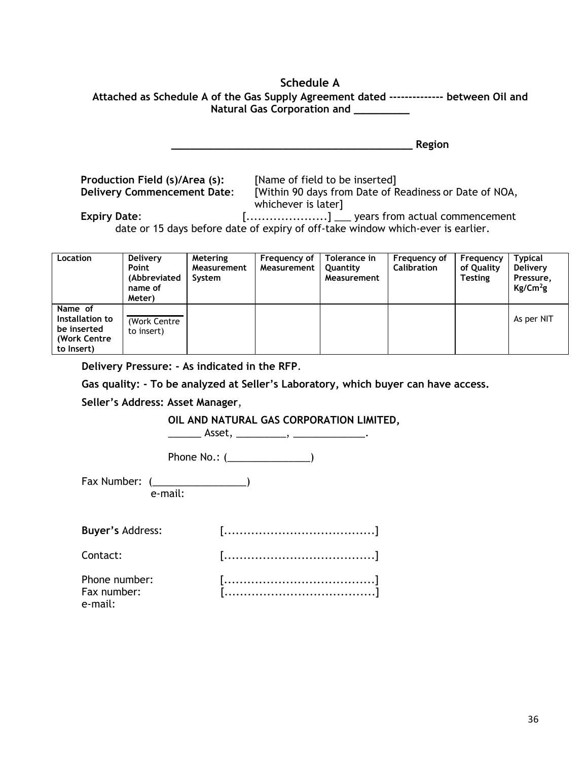# **Schedule A**

<span id="page-35-0"></span>

| Attached as Schedule A of the Gas Supply Agreement dated -------------- between Oil and |  |
|-----------------------------------------------------------------------------------------|--|
| Natural Gas Corporation and                                                             |  |

**\_\_\_\_\_\_\_\_\_\_\_\_\_\_\_\_\_\_\_\_\_\_\_\_\_\_\_\_\_\_\_\_\_\_\_\_\_\_\_ Region**

**Production Field (s)/Area (s):** [Name of field to be inserted]

**Delivery Commencement Date**: [Within 90 days from Date of Readiness or Date of NOA, whichever is later]

**Expiry Date:** [..........................] \_\_\_ years from actual commencement date or 15 days before date of expiry of off-take window which-ever is earlier.

| Location                                                                | <b>Delivery</b><br>Point<br>(Abbreviated<br>name of<br>Meter) | Metering<br>Measurement<br>System | Frequency of<br>Measurement | Tolerance in<br>Quantity<br>Measurement | Frequency of<br><b>Calibration</b> | Frequency<br>of Quality<br><b>Testing</b> | <b>Typical</b><br><b>Delivery</b><br>Pressure,<br>$Kg/Cm^2g$ |
|-------------------------------------------------------------------------|---------------------------------------------------------------|-----------------------------------|-----------------------------|-----------------------------------------|------------------------------------|-------------------------------------------|--------------------------------------------------------------|
| Name of<br>Installation to<br>be inserted<br>(Work Centre<br>to Insert) | (Work Centre<br>to insert)                                    |                                   |                             |                                         |                                    |                                           | As per NIT                                                   |

**Delivery Pressure: - As indicated in the RFP**.

**Gas quality: - To be analyzed at Seller's Laboratory, which buyer can have access.** 

**Seller's Address: Asset Manager**,

**OIL AND NATURAL GAS CORPORATION LIMITED,** 

\_\_\_\_\_\_ Asset, \_\_\_\_\_\_\_\_\_, \_\_\_\_\_\_\_\_\_\_\_\_\_.

Phone No.: (\_\_\_\_\_\_\_\_\_\_\_\_\_\_\_\_\_)

Fax Number: (\_\_\_\_\_\_\_\_\_\_\_\_\_\_\_\_\_) e-mail:

<span id="page-35-1"></span>

| <b>Buyer's Address:</b>                 |  |
|-----------------------------------------|--|
| Contact:                                |  |
| Phone number:<br>Fax number:<br>e-mail: |  |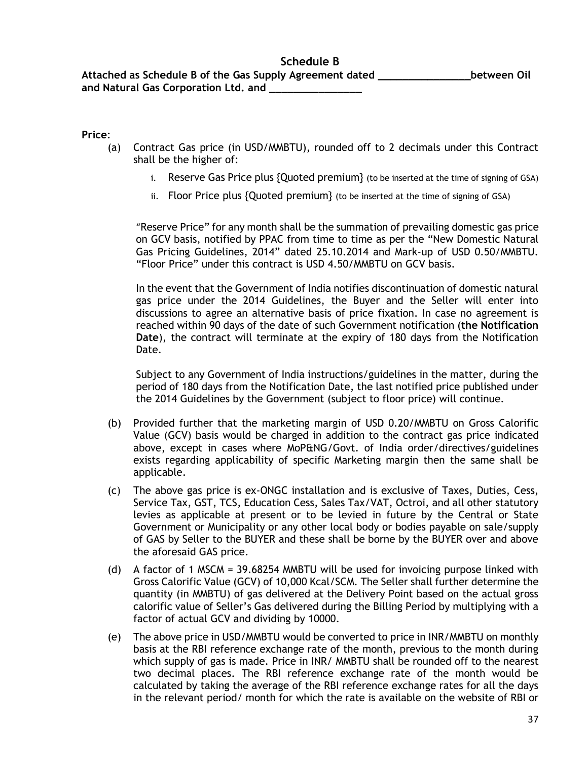#### <span id="page-36-0"></span>**Price**:

- (a) Contract Gas price (in USD/MMBTU), rounded off to 2 decimals under this Contract shall be the higher of:
	- i. Reserve Gas Price plus {Quoted premium} (to be inserted at the time of signing of GSA)
	- ii. Floor Price plus  ${Quoted premium}$  (to be inserted at the time of signing of GSA)

"Reserve Price" for any month shall be the summation of prevailing domestic gas price on GCV basis, notified by PPAC from time to time as per the "New Domestic Natural Gas Pricing Guidelines, 2014" dated 25.10.2014 and Mark-up of USD 0.50/MMBTU. "Floor Price" under this contract is USD 4.50/MMBTU on GCV basis.

In the event that the Government of India notifies discontinuation of domestic natural gas price under the 2014 Guidelines, the Buyer and the Seller will enter into discussions to agree an alternative basis of price fixation. In case no agreement is reached within 90 days of the date of such Government notification (**the Notification Date**), the contract will terminate at the expiry of 180 days from the Notification Date.

Subject to any Government of India instructions/guidelines in the matter, during the period of 180 days from the Notification Date, the last notified price published under the 2014 Guidelines by the Government (subject to floor price) will continue.

- (b) Provided further that the marketing margin of USD 0.20/MMBTU on Gross Calorific Value (GCV) basis would be charged in addition to the contract gas price indicated above, except in cases where MoP&NG/Govt. of India order/directives/guidelines exists regarding applicability of specific Marketing margin then the same shall be applicable.
- (c) The above gas price is ex-ONGC installation and is exclusive of Taxes, Duties, Cess, Service Tax, GST, TCS, Education Cess, Sales Tax/VAT, Octroi, and all other statutory levies as applicable at present or to be levied in future by the Central or State Government or Municipality or any other local body or bodies payable on sale/supply of GAS by Seller to the BUYER and these shall be borne by the BUYER over and above the aforesaid GAS price.
- (d) A factor of 1 MSCM = 39.68254 MMBTU will be used for invoicing purpose linked with Gross Calorific Value (GCV) of 10,000 Kcal/SCM. The Seller shall further determine the quantity (in MMBTU) of gas delivered at the Delivery Point based on the actual gross calorific value of Seller's Gas delivered during the Billing Period by multiplying with a factor of actual GCV and dividing by 10000.
- (e) The above price in USD/MMBTU would be converted to price in INR/MMBTU on monthly basis at the RBI reference exchange rate of the month, previous to the month during which supply of gas is made. Price in INR/ MMBTU shall be rounded off to the nearest two decimal places. The RBI reference exchange rate of the month would be calculated by taking the average of the RBI reference exchange rates for all the days in the relevant period/ month for which the rate is available on the website of RBI or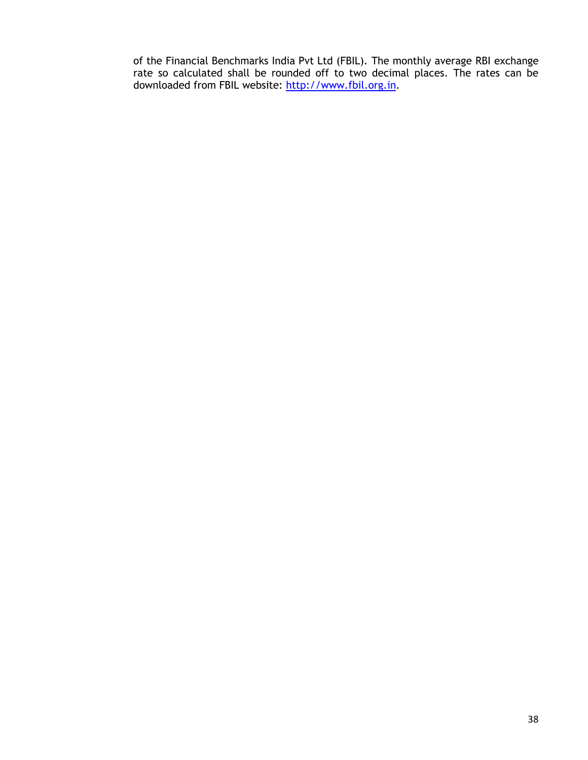of the Financial Benchmarks India Pvt Ltd (FBIL). The monthly average RBI exchange rate so calculated shall be rounded off to two decimal places. The rates can be downloaded from FBIL website: [http://www.fbil.org.in.](http://www.fbil.org.in/)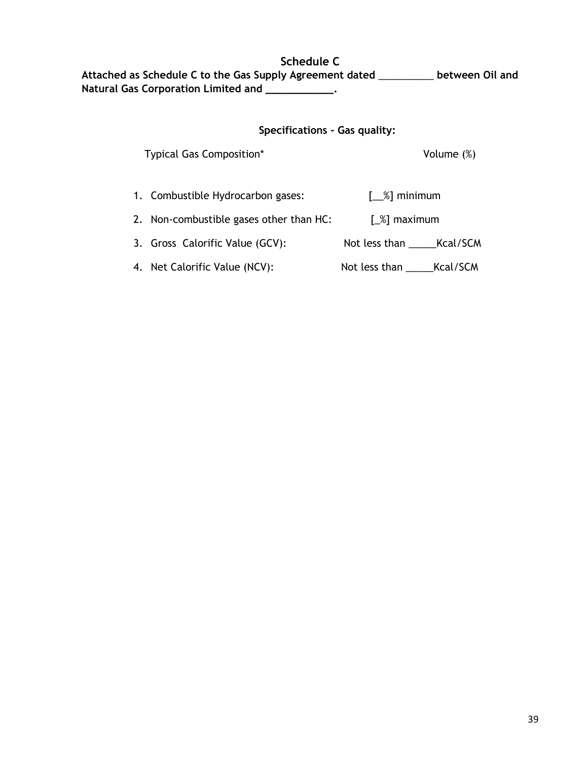<span id="page-38-0"></span>**Schedule C Attached as Schedule C to the Gas Supply Agreement dated** \_\_\_\_\_\_\_\_\_\_ **between Oil and Natural Gas Corporation Limited and \_\_\_\_\_\_\_\_\_\_\_.**

#### **Specifications - Gas quality:**

Typical Gas Composition\* Volume (%)

- 1. Combustible Hydrocarbon gases: [\_\_%] minimum
- 2. Non-combustible gases other than HC: [ $\%$ ] maximum
- 3. Gross Calorific Value (GCV): Not less than \_\_\_\_\_\_Kcal/SCM
- 4. Net Calorific Value (NCV): Not less than \_\_\_\_\_Kcal/SCM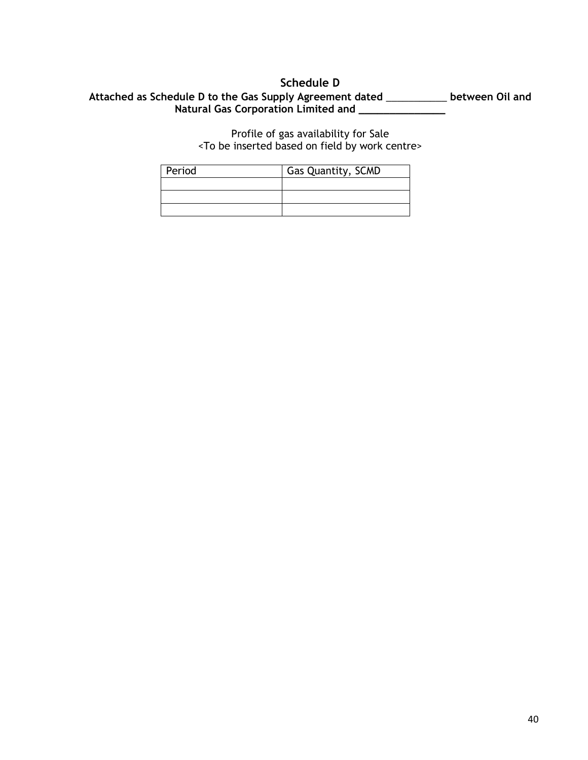## **Schedule D**

## <span id="page-39-0"></span>**Attached as Schedule D to the Gas Supply Agreement dated** \_\_\_\_\_\_\_\_\_\_\_ **between Oil and Natural Gas Corporation Limited and \_\_\_\_\_\_\_\_\_\_\_\_\_\_**

Profile of gas availability for Sale <To be inserted based on field by work centre>

| Period | Gas Quantity, SCMD |
|--------|--------------------|
|        |                    |
|        |                    |
|        |                    |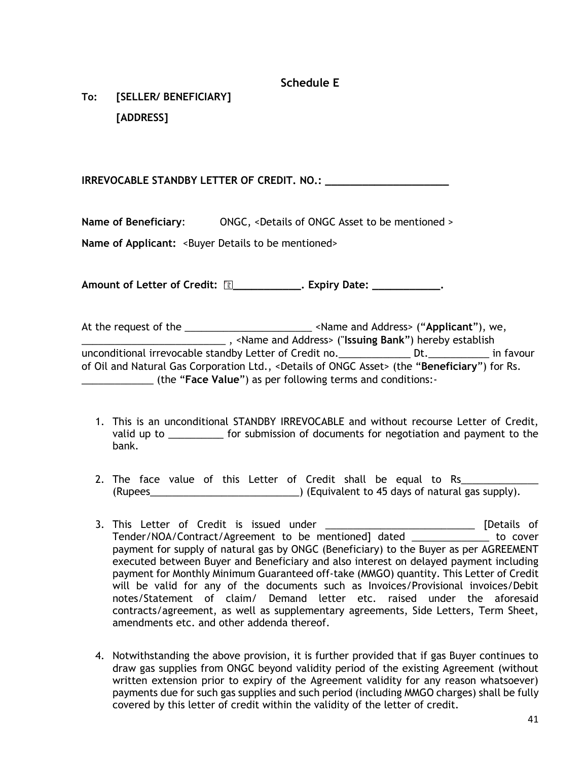# **Schedule E**

<span id="page-40-0"></span>**To: [SELLER/ BENEFICIARY] [ADDRESS]**

**IRREVOCABLE STANDBY LETTER OF CREDIT. NO.: \_\_\_\_\_\_\_\_\_\_\_\_\_\_\_\_\_\_\_\_**

**Name of Beneficiary:** ONGC, <Details of ONGC Asset to be mentioned >

Name of Applicant: <Buyer Details to be mentioned>

Amount of Letter of Credit:  $\Box$  \_\_\_\_\_\_\_\_\_\_\_\_\_. Expiry Date: \_\_\_\_\_\_\_\_\_\_\_\_\_.

At the request of the \_\_\_\_\_\_\_\_\_\_\_\_\_\_\_\_\_\_\_\_\_\_\_ <Name and Address> ("**Applicant**"), we, \_\_\_\_\_\_\_\_\_\_\_\_\_\_\_\_\_\_\_\_\_\_\_\_\_\_ , <Name and Address> ("**Issuing Bank**") hereby establish unconditional irrevocable standby Letter of Credit no.\_\_\_\_\_\_\_\_\_\_\_\_\_ Dt.\_\_\_\_\_\_\_\_\_\_\_ in favour of Oil and Natural Gas Corporation Ltd., <Details of ONGC Asset> (the "**Beneficiary**") for Rs. \_\_\_\_\_\_\_\_\_\_\_\_\_ (the "**Face Value**") as per following terms and conditions:-

- 1. This is an unconditional STANDBY IRREVOCABLE and without recourse Letter of Credit, valid up to \_\_\_\_\_\_\_\_\_\_ for submission of documents for negotiation and payment to the bank.
- 2. The face value of this Letter of Credit shall be equal to Rs\_\_\_\_\_\_\_\_\_\_\_ (Rupees\_\_\_\_\_\_\_\_\_\_\_\_\_\_\_\_\_\_\_\_\_\_\_\_\_\_\_) (Equivalent to 45 days of natural gas supply).
- 3. This Letter of Credit is issued under \_\_\_\_\_\_\_\_\_\_\_\_\_\_\_\_\_\_\_\_\_\_\_\_\_\_\_\_\_\_ [Details of Tender/NOA/Contract/Agreement to be mentioned] dated \_\_\_\_\_\_\_\_\_\_\_\_\_\_ to cover payment for supply of natural gas by ONGC (Beneficiary) to the Buyer as per AGREEMENT executed between Buyer and Beneficiary and also interest on delayed payment including payment for Monthly Minimum Guaranteed off-take (MMGO) quantity. This Letter of Credit will be valid for any of the documents such as Invoices/Provisional invoices/Debit notes/Statement of claim/ Demand letter etc. raised under the aforesaid contracts/agreement, as well as supplementary agreements, Side Letters, Term Sheet, amendments etc. and other addenda thereof.
- 4. Notwithstanding the above provision, it is further provided that if gas Buyer continues to draw gas supplies from ONGC beyond validity period of the existing Agreement (without written extension prior to expiry of the Agreement validity for any reason whatsoever) payments due for such gas supplies and such period (including MMGO charges) shall be fully covered by this letter of credit within the validity of the letter of credit.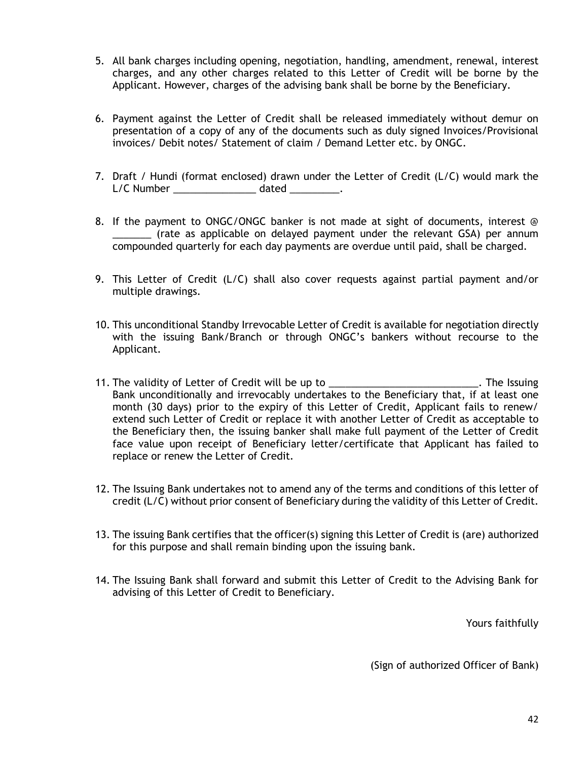- 5. All bank charges including opening, negotiation, handling, amendment, renewal, interest charges, and any other charges related to this Letter of Credit will be borne by the Applicant. However, charges of the advising bank shall be borne by the Beneficiary.
- 6. Payment against the Letter of Credit shall be released immediately without demur on presentation of a copy of any of the documents such as duly signed Invoices/Provisional invoices/ Debit notes/ Statement of claim / Demand Letter etc. by ONGC.
- 7. Draft / Hundi (format enclosed) drawn under the Letter of Credit (L/C) would mark the L/C Number \_\_\_\_\_\_\_\_\_\_\_\_\_\_\_ dated \_\_\_\_\_\_\_\_\_.
- 8. If the payment to ONGC/ONGC banker is not made at sight of documents, interest @ \_\_\_\_\_\_\_ (rate as applicable on delayed payment under the relevant GSA) per annum compounded quarterly for each day payments are overdue until paid, shall be charged.
- 9. This Letter of Credit (L/C) shall also cover requests against partial payment and/or multiple drawings.
- 10. This unconditional Standby Irrevocable Letter of Credit is available for negotiation directly with the issuing Bank/Branch or through ONGC's bankers without recourse to the Applicant.
- 11. The validity of Letter of Credit will be up to \_\_\_\_\_\_\_\_\_\_\_\_\_\_\_\_\_\_\_\_\_\_\_\_\_\_\_\_\_. The Issuing Bank unconditionally and irrevocably undertakes to the Beneficiary that, if at least one month (30 days) prior to the expiry of this Letter of Credit, Applicant fails to renew/ extend such Letter of Credit or replace it with another Letter of Credit as acceptable to the Beneficiary then, the issuing banker shall make full payment of the Letter of Credit face value upon receipt of Beneficiary letter/certificate that Applicant has failed to replace or renew the Letter of Credit.
- 12. The Issuing Bank undertakes not to amend any of the terms and conditions of this letter of credit (L/C) without prior consent of Beneficiary during the validity of this Letter of Credit.
- 13. The issuing Bank certifies that the officer(s) signing this Letter of Credit is (are) authorized for this purpose and shall remain binding upon the issuing bank.
- 14. The Issuing Bank shall forward and submit this Letter of Credit to the Advising Bank for advising of this Letter of Credit to Beneficiary.

Yours faithfully

(Sign of authorized Officer of Bank)